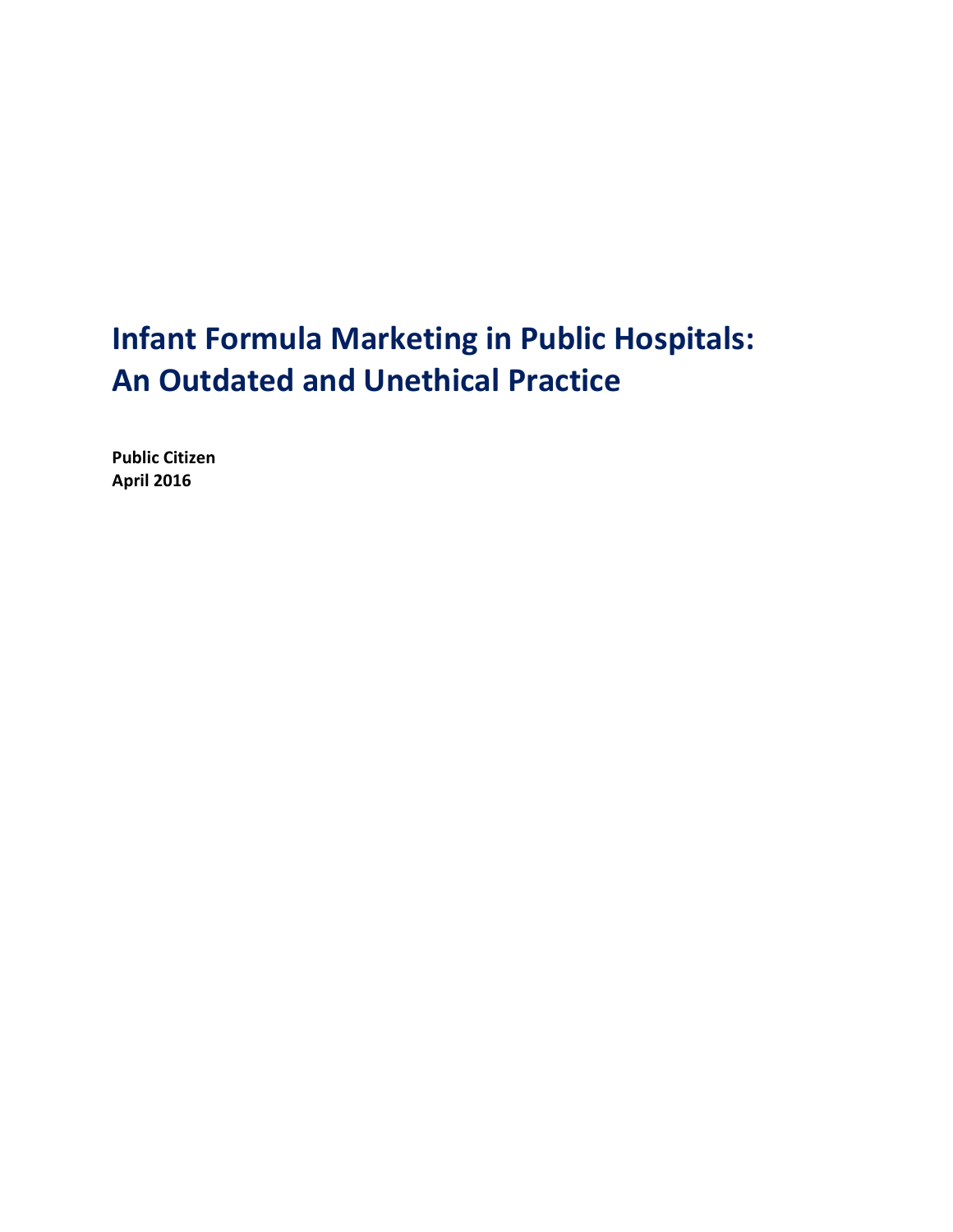# **Infant Formula Marketing in Public Hospitals: An Outdated and Unethical Practice**

**Public Citizen April 2016**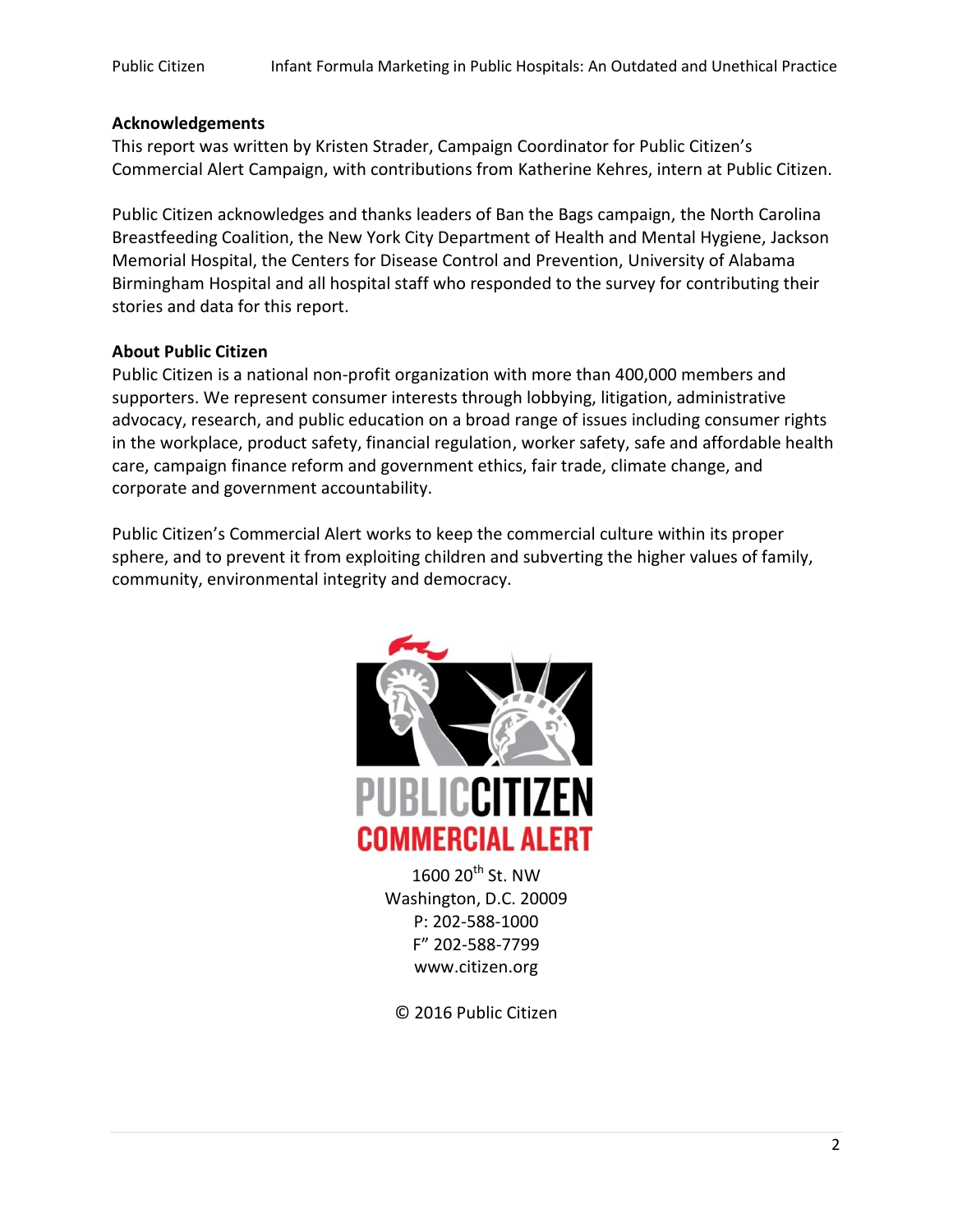#### **Acknowledgements**

This report was written by Kristen Strader, Campaign Coordinator for Public Citizen's Commercial Alert Campaign, with contributions from Katherine Kehres, intern at Public Citizen.

Public Citizen acknowledges and thanks leaders of Ban the Bags campaign, the North Carolina Breastfeeding Coalition, the New York City Department of Health and Mental Hygiene, Jackson Memorial Hospital, the Centers for Disease Control and Prevention, University of Alabama Birmingham Hospital and all hospital staff who responded to the survey for contributing their stories and data for this report.

#### **About Public Citizen**

Public Citizen is a national non-profit organization with more than 400,000 members and supporters. We represent consumer interests through lobbying, litigation, administrative advocacy, research, and public education on a broad range of issues including consumer rights in the workplace, product safety, financial regulation, worker safety, safe and affordable health care, campaign finance reform and government ethics, fair trade, climate change, and corporate and government accountability.

Public Citizen's Commercial Alert works to keep the commercial culture within its proper sphere, and to prevent it from exploiting children and subverting the higher values of family, community, environmental integrity and democracy.



 $1600 20$ <sup>th</sup> St. NW Washington, D.C. 20009 P: 202-588-1000 F" 202-588-7799 www.citizen.org

© 2016 Public Citizen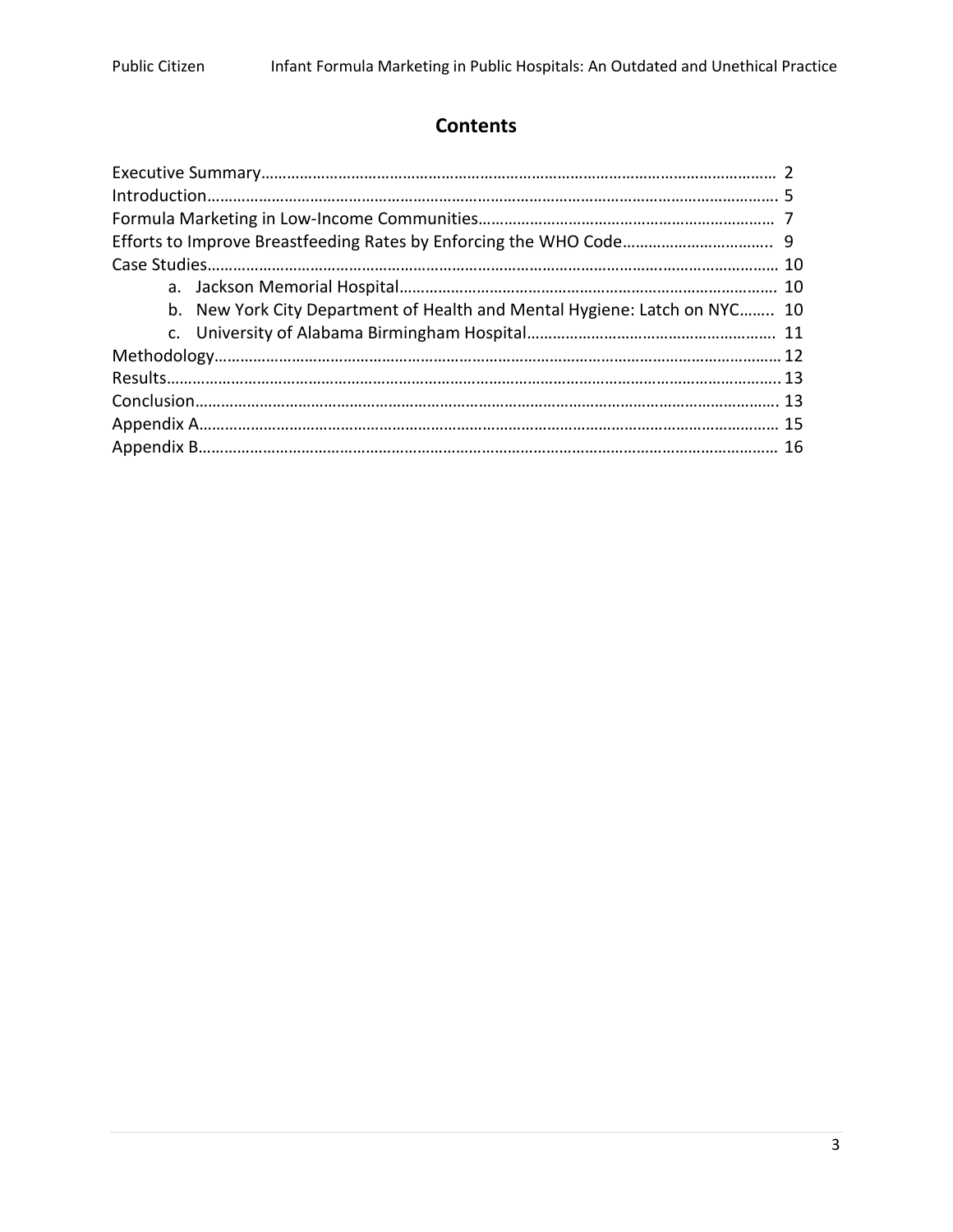# **Contents**

| b. New York City Department of Health and Mental Hygiene: Latch on NYC 10 |  |  |  |
|---------------------------------------------------------------------------|--|--|--|
|                                                                           |  |  |  |
|                                                                           |  |  |  |
|                                                                           |  |  |  |
|                                                                           |  |  |  |
|                                                                           |  |  |  |
|                                                                           |  |  |  |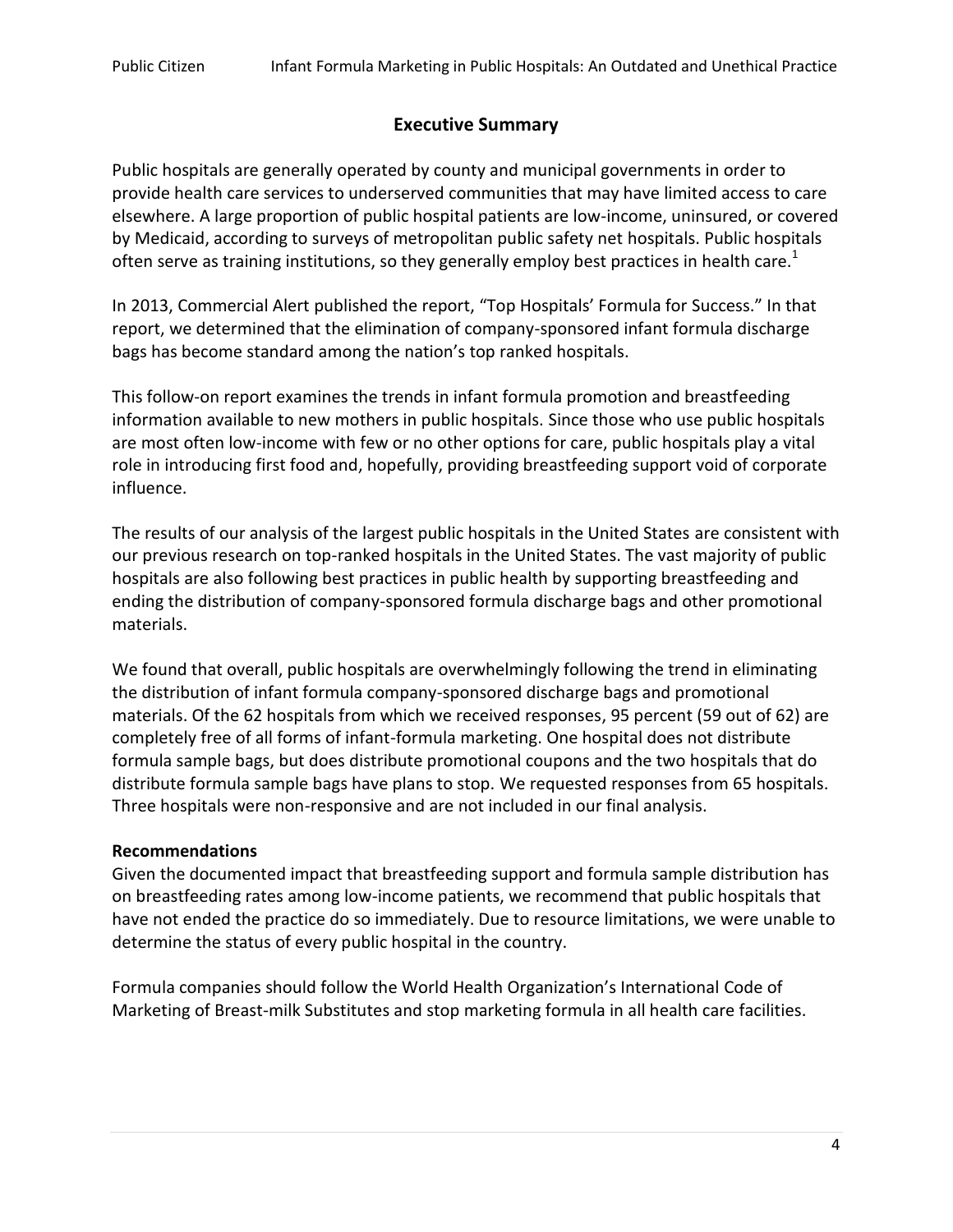# **Executive Summary**

Public hospitals are generally operated by county and municipal governments in order to provide health care services to underserved communities that may have limited access to care elsewhere. A large proportion of public hospital patients are low-income, uninsured, or covered by Medicaid, according to surveys of metropolitan public safety net hospitals. Public hospitals often serve as training institutions, so they generally employ best practices in health care.<sup>1</sup>

In 2013, Commercial Alert published the report, "Top Hospitals' Formula for Success." In that report, we determined that the elimination of company-sponsored infant formula discharge bags has become standard among the nation's top ranked hospitals.

This follow-on report examines the trends in infant formula promotion and breastfeeding information available to new mothers in public hospitals. Since those who use public hospitals are most often low-income with few or no other options for care, public hospitals play a vital role in introducing first food and, hopefully, providing breastfeeding support void of corporate influence.

The results of our analysis of the largest public hospitals in the United States are consistent with our previous research on top-ranked hospitals in the United States. The vast majority of public hospitals are also following best practices in public health by supporting breastfeeding and ending the distribution of company-sponsored formula discharge bags and other promotional materials.

We found that overall, public hospitals are overwhelmingly following the trend in eliminating the distribution of infant formula company-sponsored discharge bags and promotional materials. Of the 62 hospitals from which we received responses, 95 percent (59 out of 62) are completely free of all forms of infant-formula marketing. One hospital does not distribute formula sample bags, but does distribute promotional coupons and the two hospitals that do distribute formula sample bags have plans to stop. We requested responses from 65 hospitals. Three hospitals were non-responsive and are not included in our final analysis.

### **Recommendations**

Given the documented impact that breastfeeding support and formula sample distribution has on breastfeeding rates among low-income patients, we recommend that public hospitals that have not ended the practice do so immediately. Due to resource limitations, we were unable to determine the status of every public hospital in the country.

Formula companies should follow the World Health Organization's International Code of Marketing of Breast-milk Substitutes and stop marketing formula in all health care facilities.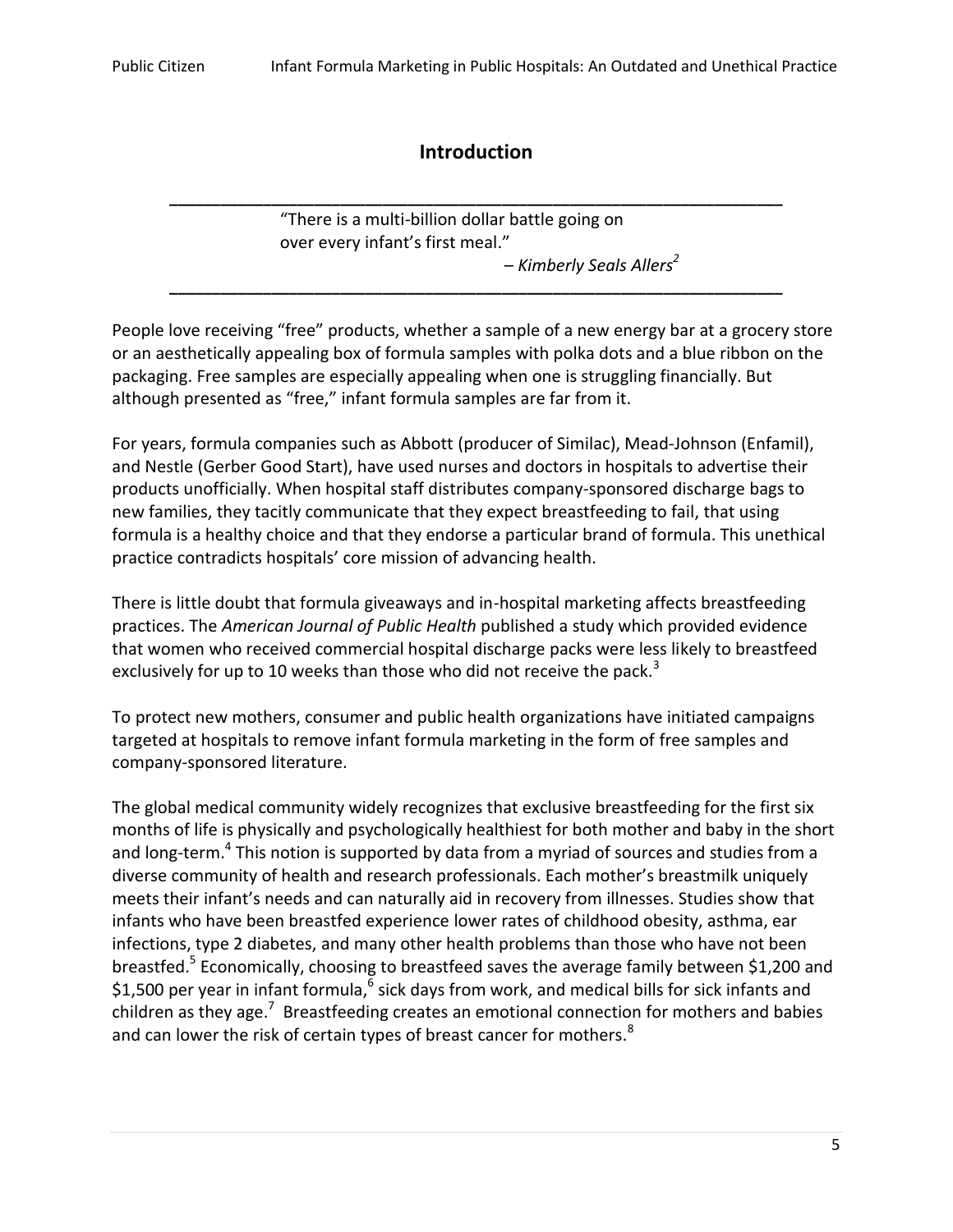# **Introduction**

"There is a multi-billion dollar battle going on over every infant's first meal."

**\_\_\_\_\_\_\_\_\_\_\_\_\_\_\_\_\_\_\_\_\_\_\_\_\_\_\_\_\_\_\_\_\_\_\_\_\_\_\_\_\_\_\_\_\_\_\_\_\_\_\_\_\_\_\_\_\_\_\_\_\_\_\_\_\_\_\_\_\_\_\_\_**

**\_\_\_\_\_\_\_\_\_\_\_\_\_\_\_\_\_\_\_\_\_\_\_\_\_\_\_\_\_\_\_\_\_\_\_\_\_\_\_\_\_\_\_\_\_\_\_\_\_\_\_\_\_\_\_\_\_\_\_\_\_\_\_\_\_\_\_\_\_\_\_\_**

– *Kimberly Seals Allers<sup>2</sup>*

People love receiving "free" products, whether a sample of a new energy bar at a grocery store or an aesthetically appealing box of formula samples with polka dots and a blue ribbon on the packaging. Free samples are especially appealing when one is struggling financially. But although presented as "free," infant formula samples are far from it.

For years, formula companies such as Abbott (producer of Similac), Mead-Johnson (Enfamil), and Nestle (Gerber Good Start), have used nurses and doctors in hospitals to advertise their products unofficially. When hospital staff distributes company-sponsored discharge bags to new families, they tacitly communicate that they expect breastfeeding to fail, that using formula is a healthy choice and that they endorse a particular brand of formula. This unethical practice contradicts hospitals' core mission of advancing health.

There is little doubt that formula giveaways and in-hospital marketing affects breastfeeding practices. The *American Journal of Public Health* published a study which provided evidence that women who received commercial hospital discharge packs were less likely to breastfeed exclusively for up to 10 weeks than those who did not receive the pack.<sup>3</sup>

To protect new mothers, consumer and public health organizations have initiated campaigns targeted at hospitals to remove infant formula marketing in the form of free samples and company-sponsored literature.

The global medical community widely recognizes that exclusive breastfeeding for the first six months of life is physically and psychologically healthiest for both mother and baby in the short and long-term.<sup>4</sup> This notion is supported by data from a myriad of sources and studies from a diverse community of health and research professionals. Each mother's breastmilk uniquely meets their infant's needs and can naturally aid in recovery from illnesses. Studies show that infants who have been breastfed experience lower rates of childhood obesity, asthma, ear infections, type 2 diabetes, and many other health problems than those who have not been breastfed.<sup>5</sup> Economically, choosing to breastfeed saves the average family between \$1,200 and \$1,500 per year in infant formula, $^6$  sick days from work, and medical bills for sick infants and children as they age.<sup>7</sup> Breastfeeding creates an emotional connection for mothers and babies and can lower the risk of certain types of breast cancer for mothers.<sup>8</sup>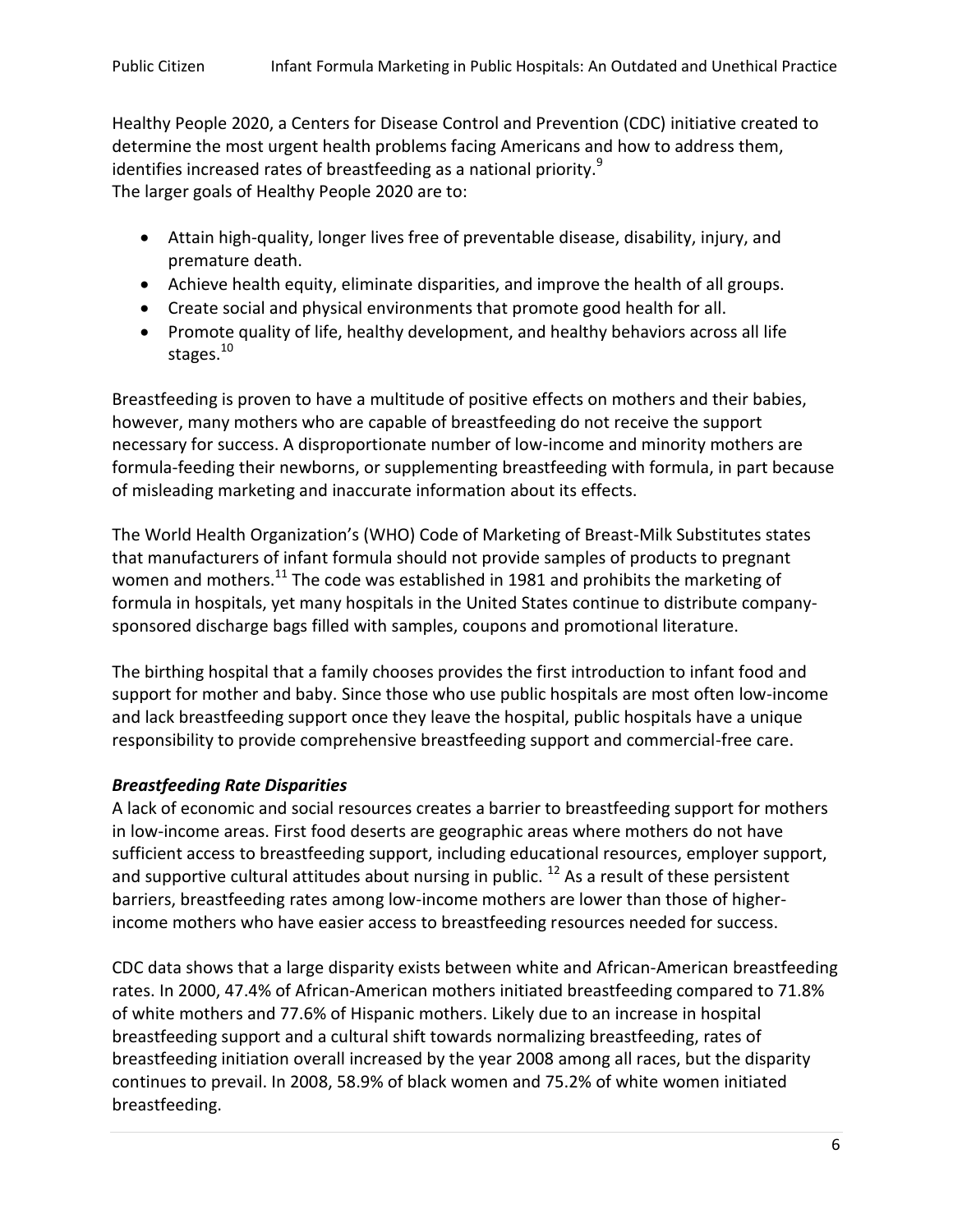Healthy People 2020, a Centers for Disease Control and Prevention (CDC) initiative created to determine the most urgent health problems facing Americans and how to address them, identifies increased rates of breastfeeding as a national priority.<sup>9</sup> The larger goals of Healthy People 2020 are to:

- Attain high-quality, longer lives free of preventable disease, disability, injury, and premature death.
- Achieve health equity, eliminate disparities, and improve the health of all groups.
- Create social and physical environments that promote good health for all.
- Promote quality of life, healthy development, and healthy behaviors across all life stages.<sup>10</sup>

Breastfeeding is proven to have a multitude of positive effects on mothers and their babies, however, many mothers who are capable of breastfeeding do not receive the support necessary for success. A disproportionate number of low-income and minority mothers are formula-feeding their newborns, or supplementing breastfeeding with formula, in part because of misleading marketing and inaccurate information about its effects.

The World Health Organization's (WHO) Code of Marketing of Breast-Milk Substitutes states that manufacturers of infant formula should not provide samples of products to pregnant women and mothers.<sup>11</sup> The code was established in 1981 and prohibits the marketing of formula in hospitals, yet many hospitals in the United States continue to distribute companysponsored discharge bags filled with samples, coupons and promotional literature.

The birthing hospital that a family chooses provides the first introduction to infant food and support for mother and baby. Since those who use public hospitals are most often low-income and lack breastfeeding support once they leave the hospital, public hospitals have a unique responsibility to provide comprehensive breastfeeding support and commercial-free care.

### *Breastfeeding Rate Disparities*

A lack of economic and social resources creates a barrier to breastfeeding support for mothers in low-income areas. First food deserts are geographic areas where mothers do not have sufficient access to breastfeeding support, including educational resources, employer support, and supportive cultural attitudes about nursing in public.<sup>12</sup> As a result of these persistent barriers, breastfeeding rates among low-income mothers are lower than those of higherincome mothers who have easier access to breastfeeding resources needed for success.

CDC data shows that a large disparity exists between white and African-American breastfeeding rates. In 2000, 47.4% of African-American mothers initiated breastfeeding compared to 71.8% of white mothers and 77.6% of Hispanic mothers. Likely due to an increase in hospital breastfeeding support and a cultural shift towards normalizing breastfeeding, rates of breastfeeding initiation overall increased by the year 2008 among all races, but the disparity continues to prevail. In 2008, 58.9% of black women and 75.2% of white women initiated breastfeeding.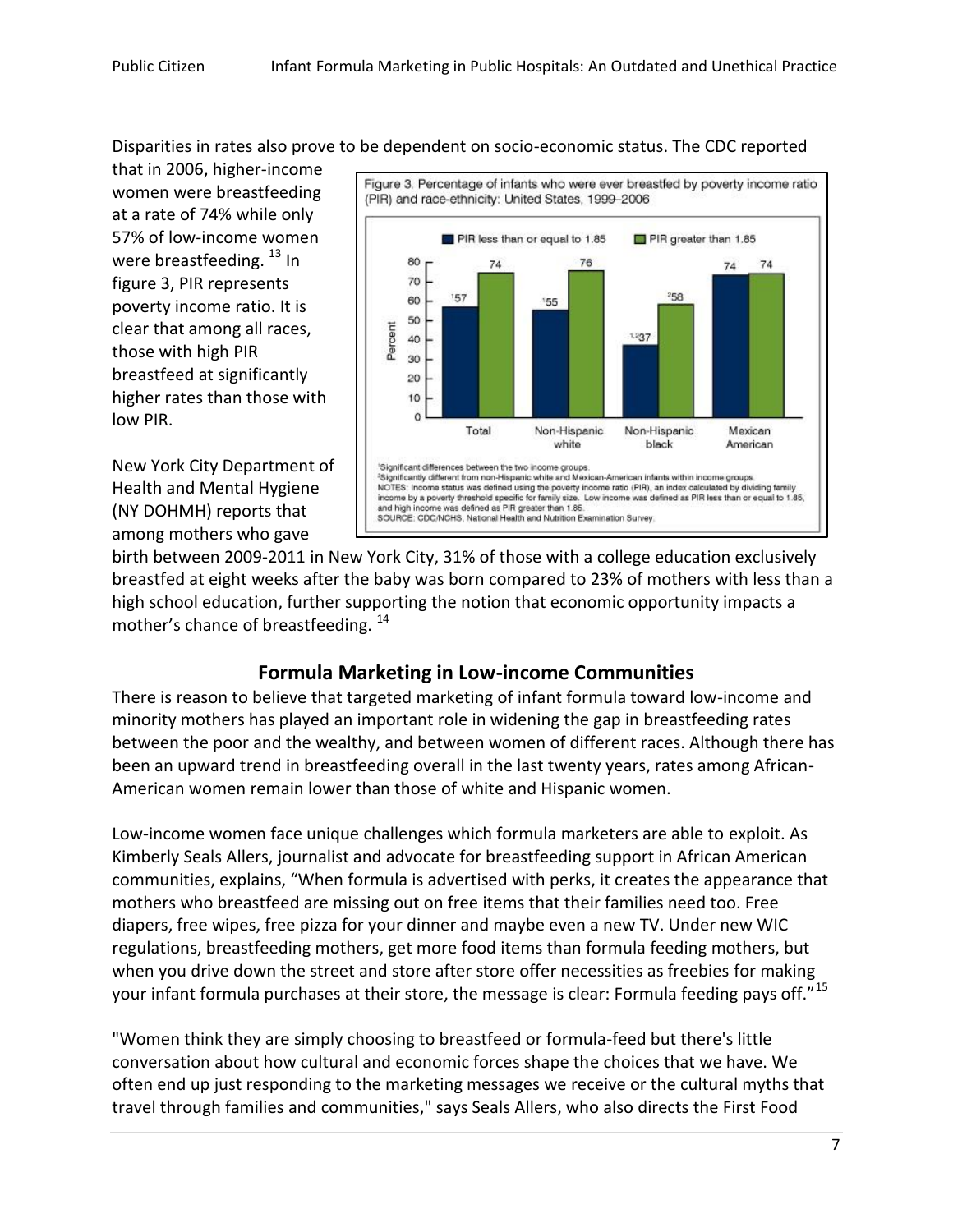Disparities in rates also prove to be dependent on socio-economic status. The CDC reported

that in 2006, higher-income women were breastfeeding at a rate of 74% while only 57% of low-income women were breastfeeding.  $^{13}$  In figure 3, PIR represents poverty income ratio. It is clear that among all races, those with high PIR breastfeed at significantly higher rates than those with low PIR.

New York City Department of Health and Mental Hygiene (NY DOHMH) reports that among mothers who gave



birth between 2009-2011 in New York City, 31% of those with a college education exclusively breastfed at eight weeks after the baby was born compared to 23% of mothers with less than a high school education, further supporting the notion that economic opportunity impacts a mother's chance of breastfeeding. <sup>14</sup>

# **Formula Marketing in Low-income Communities**

There is reason to believe that targeted marketing of infant formula toward low-income and minority mothers has played an important role in widening the gap in breastfeeding rates between the poor and the wealthy, and between women of different races. Although there has been an upward trend in breastfeeding overall in the last twenty years, rates among African-American women remain lower than those of white and Hispanic women.

Low-income women face unique challenges which formula marketers are able to exploit. As Kimberly Seals Allers, journalist and advocate for breastfeeding support in African American communities, explains, "When formula is advertised with perks, it creates the appearance that mothers who breastfeed are missing out on free items that their families need too. Free diapers, free wipes, free pizza for your dinner and maybe even a new TV. Under new WIC regulations, breastfeeding mothers, get more food items than formula feeding mothers, but when you drive down the street and store after store offer necessities as freebies for making your infant formula purchases at their store, the message is clear: Formula feeding pays off."<sup>15</sup>

"Women think they are simply choosing to breastfeed or formula-feed but there's little conversation about how cultural and economic forces shape the choices that we have. We often end up just responding to the marketing messages we receive or the cultural myths that travel through families and communities," says Seals Allers, who also directs the First Food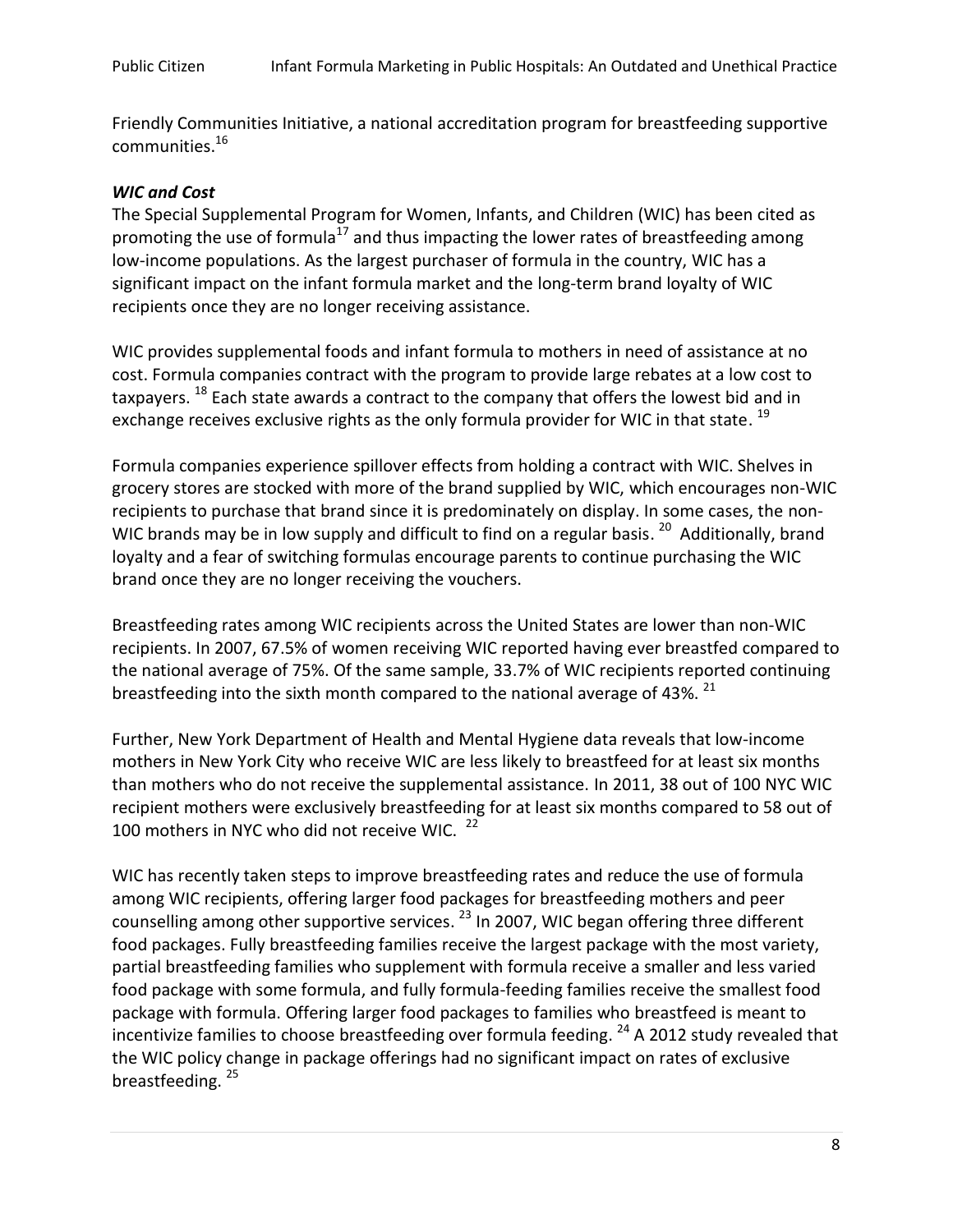Friendly Communities Initiative, a national accreditation program for breastfeeding supportive communities. 16

# *WIC and Cost*

The Special Supplemental Program for Women, Infants, and Children (WIC) has been cited as promoting the use of formula<sup>17</sup> and thus impacting the lower rates of breastfeeding among low-income populations. As the largest purchaser of formula in the country, WIC has a significant impact on the infant formula market and the long-term brand loyalty of WIC recipients once they are no longer receiving assistance.

WIC provides supplemental foods and infant formula to mothers in need of assistance at no cost. Formula companies contract with the program to provide large rebates at a low cost to taxpayers. <sup>18</sup> Each state awards a contract to the company that offers the lowest bid and in exchange receives exclusive rights as the only formula provider for WIC in that state. <sup>19</sup>

Formula companies experience spillover effects from holding a contract with WIC. Shelves in grocery stores are stocked with more of the brand supplied by WIC, which encourages non-WIC recipients to purchase that brand since it is predominately on display. In some cases, the non-WIC brands may be in low supply and difficult to find on a regular basis.  $^{20}$  Additionally, brand loyalty and a fear of switching formulas encourage parents to continue purchasing the WIC brand once they are no longer receiving the vouchers.

Breastfeeding rates among WIC recipients across the United States are lower than non-WIC recipients. In 2007, 67.5% of women receiving WIC reported having ever breastfed compared to the national average of 75%. Of the same sample, 33.7% of WIC recipients reported continuing breastfeeding into the sixth month compared to the national average of 43%.  $^{21}$ 

Further, New York Department of Health and Mental Hygiene data reveals that low-income mothers in New York City who receive WIC are less likely to breastfeed for at least six months than mothers who do not receive the supplemental assistance. In 2011, 38 out of 100 NYC WIC recipient mothers were exclusively breastfeeding for at least six months compared to 58 out of 100 mothers in NYC who did not receive WIC. <sup>22</sup>

WIC has recently taken steps to improve breastfeeding rates and reduce the use of formula among WIC recipients, offering larger food packages for breastfeeding mothers and peer counselling among other supportive services. <sup>23</sup> In 2007, WIC began offering three different food packages. Fully breastfeeding families receive the largest package with the most variety, partial breastfeeding families who supplement with formula receive a smaller and less varied food package with some formula, and fully formula-feeding families receive the smallest food package with formula. Offering larger food packages to families who breastfeed is meant to incentivize families to choose breastfeeding over formula feeding. <sup>24</sup> A 2012 study revealed that the WIC policy change in package offerings had no significant impact on rates of exclusive breastfeeding.<sup>25</sup>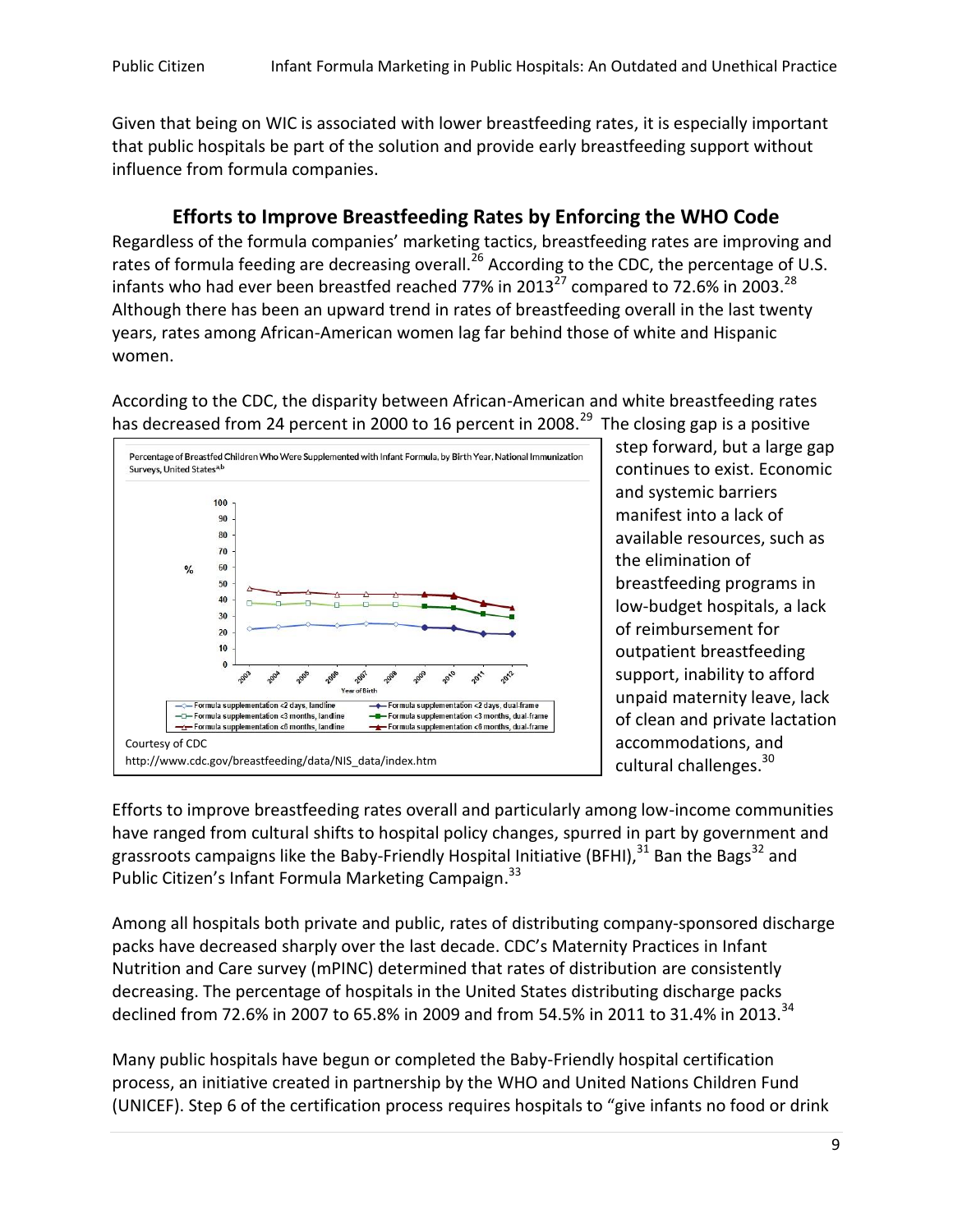Given that being on WIC is associated with lower breastfeeding rates, it is especially important that public hospitals be part of the solution and provide early breastfeeding support without influence from formula companies.

# **Efforts to Improve Breastfeeding Rates by Enforcing the WHO Code**

Regardless of the formula companies' marketing tactics, breastfeeding rates are improving and rates of formula feeding are decreasing overall.<sup>26</sup> According to the CDC, the percentage of U.S. infants who had ever been breastfed reached 77% in 2013 $^{27}$  compared to 72.6% in 2003.<sup>28</sup> Although there has been an upward trend in rates of breastfeeding overall in the last twenty years, rates among African-American women lag far behind those of white and Hispanic women.

According to the CDC, the disparity between African-American and white breastfeeding rates has decreased from 24 percent in 2000 to 16 percent in 2008.<sup>29</sup> The closing gap is a positive



step forward, but a large gap continues to exist. Economic and systemic barriers manifest into a lack of available resources, such as the elimination of breastfeeding programs in low-budget hospitals, a lack of reimbursement for outpatient breastfeeding support, inability to afford unpaid maternity leave, lack of clean and private lactation accommodations, and cultural challenges.<sup>30</sup>

Efforts to improve breastfeeding rates overall and particularly among low-income communities have ranged from cultural shifts to hospital policy changes, spurred in part by government and grassroots campaigns like the Baby-Friendly Hospital Initiative (BFHI), $^{31}$  Ban the Bags $^{32}$  and Public Citizen's Infant Formula Marketing Campaign.<sup>33</sup>

Among all hospitals both private and public, rates of distributing company-sponsored discharge packs have decreased sharply over the last decade. CDC's Maternity Practices in Infant Nutrition and Care survey (mPINC) determined that rates of distribution are consistently decreasing. The percentage of hospitals in the United States distributing discharge packs declined from 72.6% in 2007 to 65.8% in 2009 and from 54.5% in 2011 to 31.4% in 2013.<sup>34</sup>

Many public hospitals have begun or completed the Baby-Friendly hospital certification process, an initiative created in partnership by the WHO and United Nations Children Fund (UNICEF). Step 6 of the certification process requires hospitals to "give infants no food or drink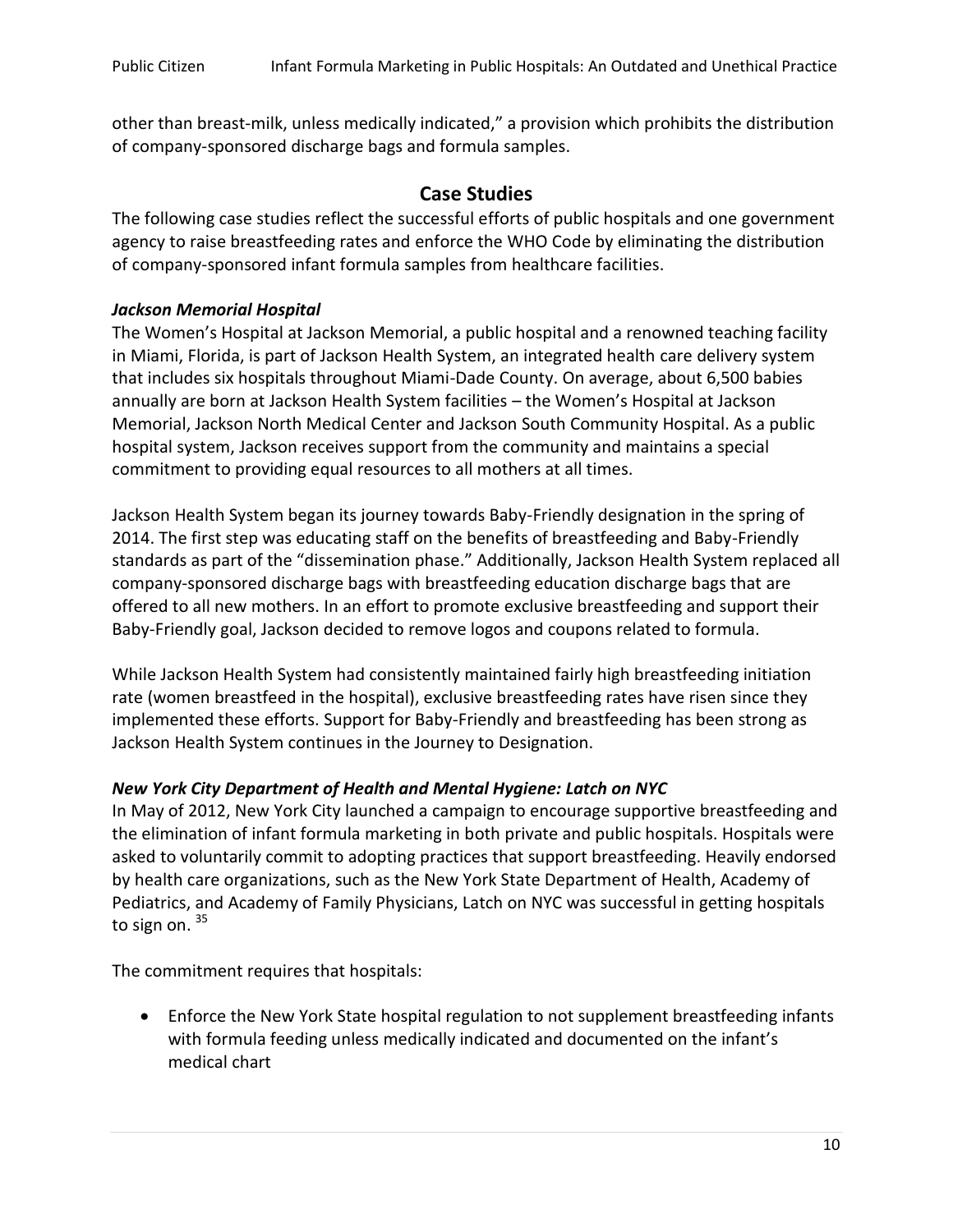other than breast-milk, unless medically indicated," a provision which prohibits the distribution of company-sponsored discharge bags and formula samples.

# **Case Studies**

The following case studies reflect the successful efforts of public hospitals and one government agency to raise breastfeeding rates and enforce the WHO Code by eliminating the distribution of company-sponsored infant formula samples from healthcare facilities.

## *Jackson Memorial Hospital*

The Women's Hospital at Jackson Memorial, a public hospital and a renowned teaching facility in Miami, Florida, is part of Jackson Health System, an integrated health care delivery system that includes six hospitals throughout Miami-Dade County. On average, about 6,500 babies annually are born at Jackson Health System facilities – the Women's Hospital at Jackson Memorial, Jackson North Medical Center and Jackson South Community Hospital. As a public hospital system, Jackson receives support from the community and maintains a special commitment to providing equal resources to all mothers at all times.

Jackson Health System began its journey towards Baby-Friendly designation in the spring of 2014. The first step was educating staff on the benefits of breastfeeding and Baby-Friendly standards as part of the "dissemination phase." Additionally, Jackson Health System replaced all company-sponsored discharge bags with breastfeeding education discharge bags that are offered to all new mothers. In an effort to promote exclusive breastfeeding and support their Baby-Friendly goal, Jackson decided to remove logos and coupons related to formula.

While Jackson Health System had consistently maintained fairly high breastfeeding initiation rate (women breastfeed in the hospital), exclusive breastfeeding rates have risen since they implemented these efforts. Support for Baby-Friendly and breastfeeding has been strong as Jackson Health System continues in the Journey to Designation.

# *New York City Department of Health and Mental Hygiene: Latch on NYC*

In May of 2012, New York City launched a campaign to encourage supportive breastfeeding and the elimination of infant formula marketing in both private and public hospitals. Hospitals were asked to voluntarily commit to adopting practices that support breastfeeding. Heavily endorsed by health care organizations, such as the New York State Department of Health, Academy of Pediatrics, and Academy of Family Physicians, Latch on NYC was successful in getting hospitals to sign on. 35

The commitment requires that hospitals:

 Enforce the New York State hospital regulation to not supplement breastfeeding infants with formula feeding unless medically indicated and documented on the infant's medical chart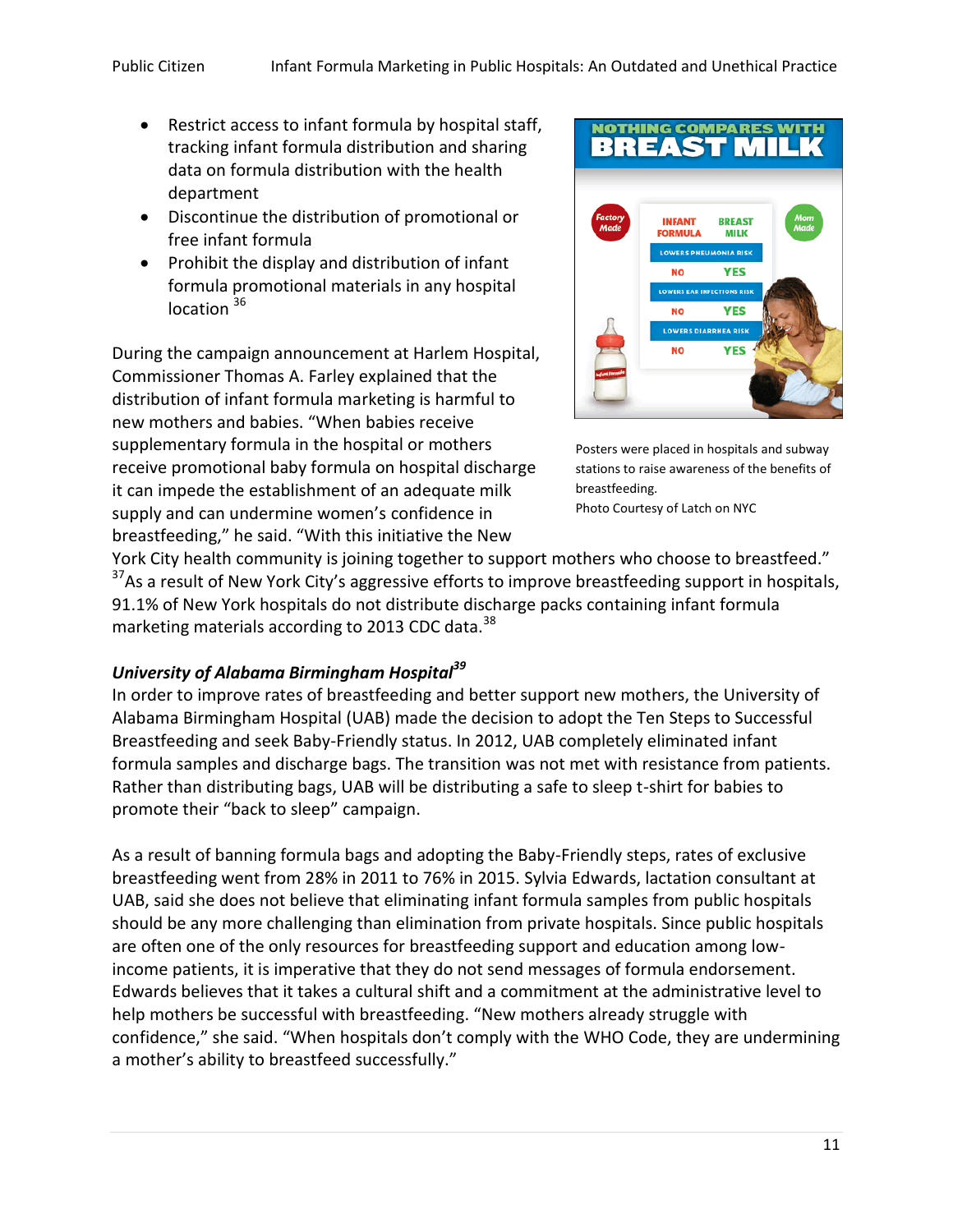- Restrict access to infant formula by hospital staff, tracking infant formula distribution and sharing data on formula distribution with the health department
- Discontinue the distribution of promotional or free infant formula
- Prohibit the display and distribution of infant formula promotional materials in any hospital  $location<sup>36</sup>$

During the campaign announcement at Harlem Hospital, Commissioner Thomas A. Farley explained that the distribution of infant formula marketing is harmful to new mothers and babies. "When babies receive supplementary formula in the hospital or mothers receive promotional baby formula on hospital discharge it can impede the establishment of an adequate milk supply and can undermine women's confidence in breastfeeding," he said. "With this initiative the New



Posters were placed in hospitals and subway stations to raise awareness of the benefits of breastfeeding. Photo Courtesy of Latch on NYC

York City health community is joining together to support mothers who choose to breastfeed." <sup>37</sup>As a result of New York City's aggressive efforts to improve breastfeeding support in hospitals, 91.1% of New York hospitals do not distribute discharge packs containing infant formula marketing materials according to 2013 CDC data.<sup>38</sup>

# *University of Alabama Birmingham Hospital<sup>39</sup>*

In order to improve rates of breastfeeding and better support new mothers, the University of Alabama Birmingham Hospital (UAB) made the decision to adopt the Ten Steps to Successful Breastfeeding and seek Baby-Friendly status. In 2012, UAB completely eliminated infant formula samples and discharge bags. The transition was not met with resistance from patients. Rather than distributing bags, UAB will be distributing a safe to sleep t-shirt for babies to promote their "back to sleep" campaign.

As a result of banning formula bags and adopting the Baby-Friendly steps, rates of exclusive breastfeeding went from 28% in 2011 to 76% in 2015. Sylvia Edwards, lactation consultant at UAB, said she does not believe that eliminating infant formula samples from public hospitals should be any more challenging than elimination from private hospitals. Since public hospitals are often one of the only resources for breastfeeding support and education among lowincome patients, it is imperative that they do not send messages of formula endorsement. Edwards believes that it takes a cultural shift and a commitment at the administrative level to help mothers be successful with breastfeeding. "New mothers already struggle with confidence," she said. "When hospitals don't comply with the WHO Code, they are undermining a mother's ability to breastfeed successfully."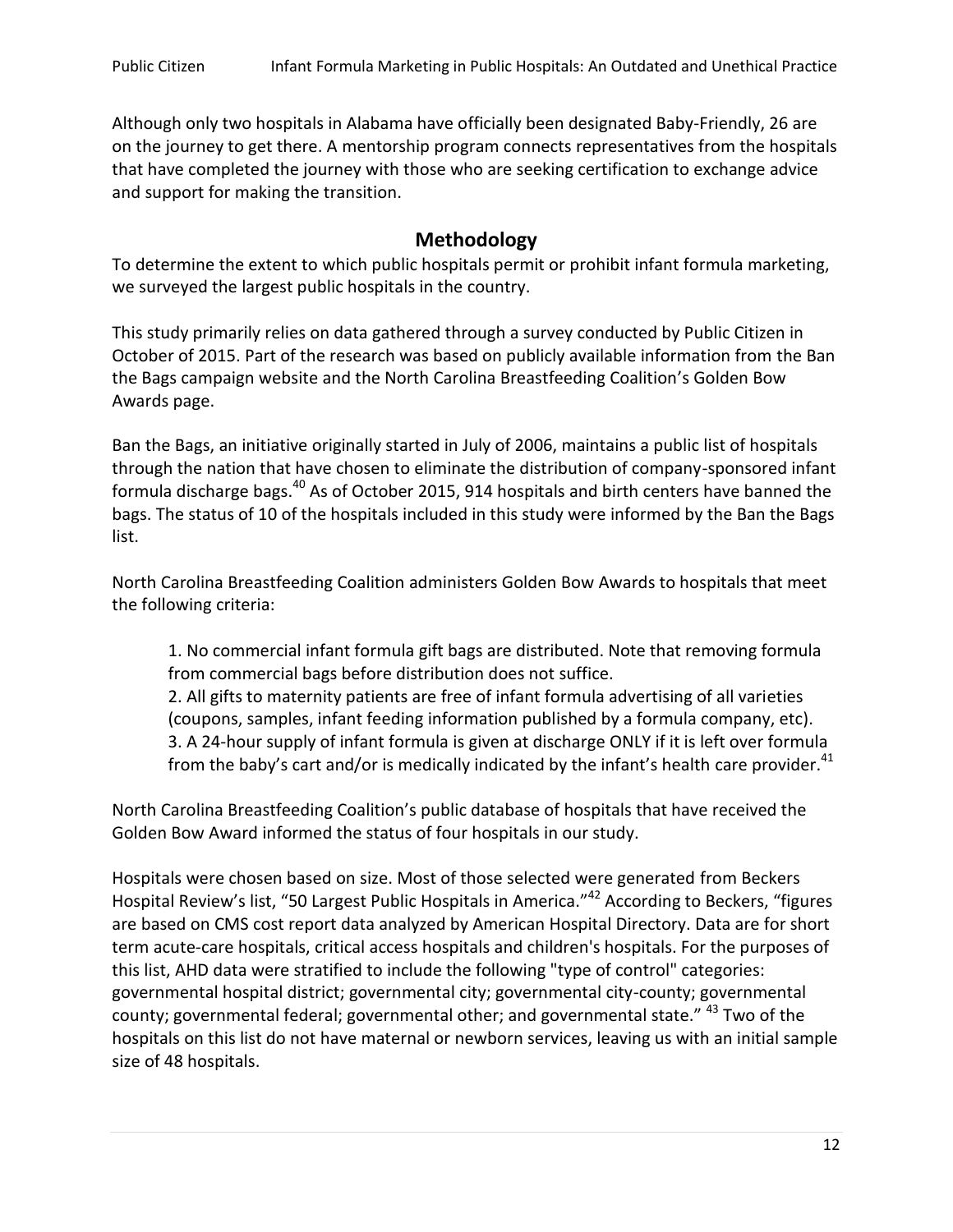Although only two hospitals in Alabama have officially been designated Baby-Friendly, 26 are on the journey to get there. A mentorship program connects representatives from the hospitals that have completed the journey with those who are seeking certification to exchange advice and support for making the transition.

## **Methodology**

To determine the extent to which public hospitals permit or prohibit infant formula marketing, we surveyed the largest public hospitals in the country.

This study primarily relies on data gathered through a survey conducted by Public Citizen in October of 2015. Part of the research was based on publicly available information from the Ban the Bags campaign website and the North Carolina Breastfeeding Coalition's Golden Bow Awards page.

Ban the Bags, an initiative originally started in July of 2006, maintains a public list of hospitals through the nation that have chosen to eliminate the distribution of company-sponsored infant formula discharge bags.<sup>40</sup> As of October 2015, 914 hospitals and birth centers have banned the bags. The status of 10 of the hospitals included in this study were informed by the Ban the Bags list.

North Carolina Breastfeeding Coalition administers Golden Bow Awards to hospitals that meet the following criteria:

1. No commercial infant formula gift bags are distributed. Note that removing formula from commercial bags before distribution does not suffice.

2. All gifts to maternity patients are free of infant formula advertising of all varieties (coupons, samples, infant feeding information published by a formula company, etc). 3. A 24-hour supply of infant formula is given at discharge ONLY if it is left over formula from the baby's cart and/or is medically indicated by the infant's health care provider.<sup>41</sup>

North Carolina Breastfeeding Coalition's public database of hospitals that have received the Golden Bow Award informed the status of four hospitals in our study.

Hospitals were chosen based on size. Most of those selected were generated from Beckers Hospital Review's list, "50 Largest Public Hospitals in America."<sup>42</sup> According to Beckers, "figures are based on CMS cost report data analyzed by American Hospital Directory. Data are for short term acute-care hospitals, critical access hospitals and children's hospitals. For the purposes of this list, AHD data were stratified to include the following "type of control" categories: governmental hospital district; governmental city; governmental city-county; governmental county; governmental federal; governmental other; and governmental state." <sup>43</sup> Two of the hospitals on this list do not have maternal or newborn services, leaving us with an initial sample size of 48 hospitals.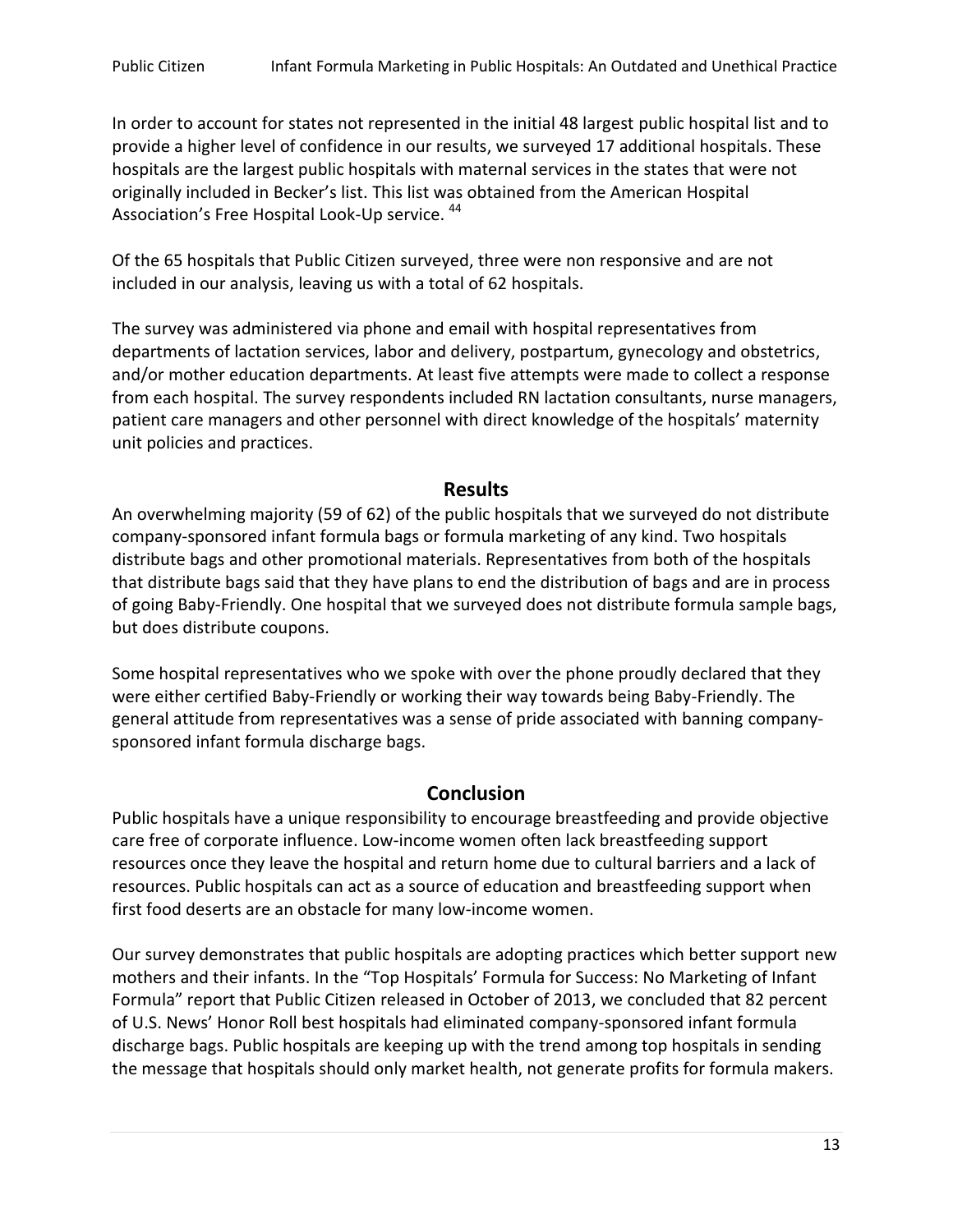In order to account for states not represented in the initial 48 largest public hospital list and to provide a higher level of confidence in our results, we surveyed 17 additional hospitals. These hospitals are the largest public hospitals with maternal services in the states that were not originally included in Becker's list. This list was obtained from the American Hospital Association's Free Hospital Look-Up service. <sup>44</sup>

Of the 65 hospitals that Public Citizen surveyed, three were non responsive and are not included in our analysis, leaving us with a total of 62 hospitals.

The survey was administered via phone and email with hospital representatives from departments of lactation services, labor and delivery, postpartum, gynecology and obstetrics, and/or mother education departments. At least five attempts were made to collect a response from each hospital. The survey respondents included RN lactation consultants, nurse managers, patient care managers and other personnel with direct knowledge of the hospitals' maternity unit policies and practices.

## **Results**

An overwhelming majority (59 of 62) of the public hospitals that we surveyed do not distribute company-sponsored infant formula bags or formula marketing of any kind. Two hospitals distribute bags and other promotional materials. Representatives from both of the hospitals that distribute bags said that they have plans to end the distribution of bags and are in process of going Baby-Friendly. One hospital that we surveyed does not distribute formula sample bags, but does distribute coupons.

Some hospital representatives who we spoke with over the phone proudly declared that they were either certified Baby-Friendly or working their way towards being Baby-Friendly. The general attitude from representatives was a sense of pride associated with banning companysponsored infant formula discharge bags.

# **Conclusion**

Public hospitals have a unique responsibility to encourage breastfeeding and provide objective care free of corporate influence. Low-income women often lack breastfeeding support resources once they leave the hospital and return home due to cultural barriers and a lack of resources. Public hospitals can act as a source of education and breastfeeding support when first food deserts are an obstacle for many low-income women.

Our survey demonstrates that public hospitals are adopting practices which better support new mothers and their infants. In the "Top Hospitals' Formula for Success: No Marketing of Infant Formula" report that Public Citizen released in October of 2013, we concluded that 82 percent of U.S. News' Honor Roll best hospitals had eliminated company-sponsored infant formula discharge bags. Public hospitals are keeping up with the trend among top hospitals in sending the message that hospitals should only market health, not generate profits for formula makers.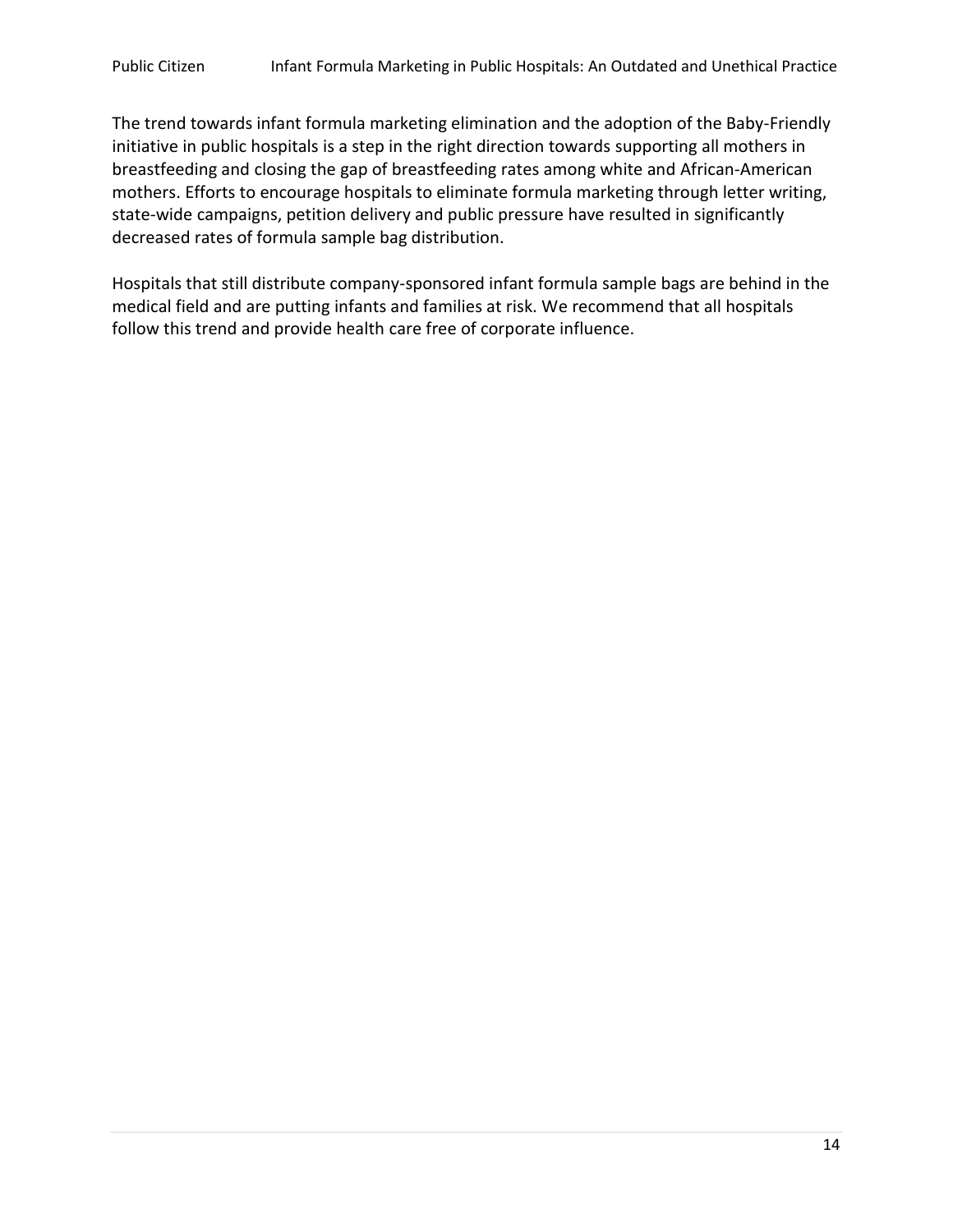The trend towards infant formula marketing elimination and the adoption of the Baby-Friendly initiative in public hospitals is a step in the right direction towards supporting all mothers in breastfeeding and closing the gap of breastfeeding rates among white and African-American mothers. Efforts to encourage hospitals to eliminate formula marketing through letter writing, state-wide campaigns, petition delivery and public pressure have resulted in significantly decreased rates of formula sample bag distribution.

Hospitals that still distribute company-sponsored infant formula sample bags are behind in the medical field and are putting infants and families at risk. We recommend that all hospitals follow this trend and provide health care free of corporate influence.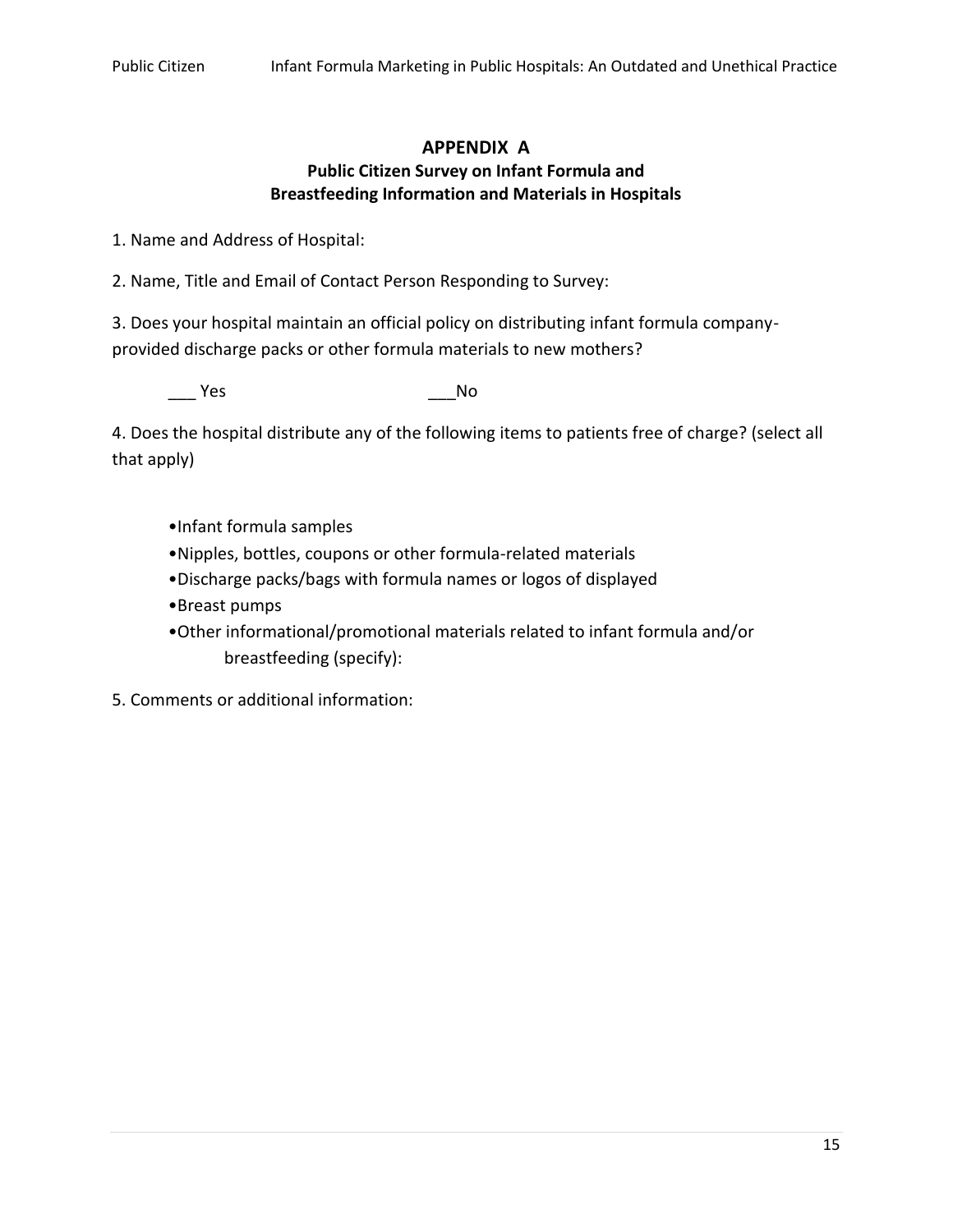#### **APPENDIX A Public Citizen Survey on Infant Formula and Breastfeeding Information and Materials in Hospitals**

1. Name and Address of Hospital:

2. Name, Title and Email of Contact Person Responding to Survey:

3. Does your hospital maintain an official policy on distributing infant formula companyprovided discharge packs or other formula materials to new mothers?

Yes Mo

4. Does the hospital distribute any of the following items to patients free of charge? (select all that apply)

- •Infant formula samples
- •Nipples, bottles, coupons or other formula-related materials
- •Discharge packs/bags with formula names or logos of displayed
- •Breast pumps
- •Other informational/promotional materials related to infant formula and/or breastfeeding (specify):

5. Comments or additional information: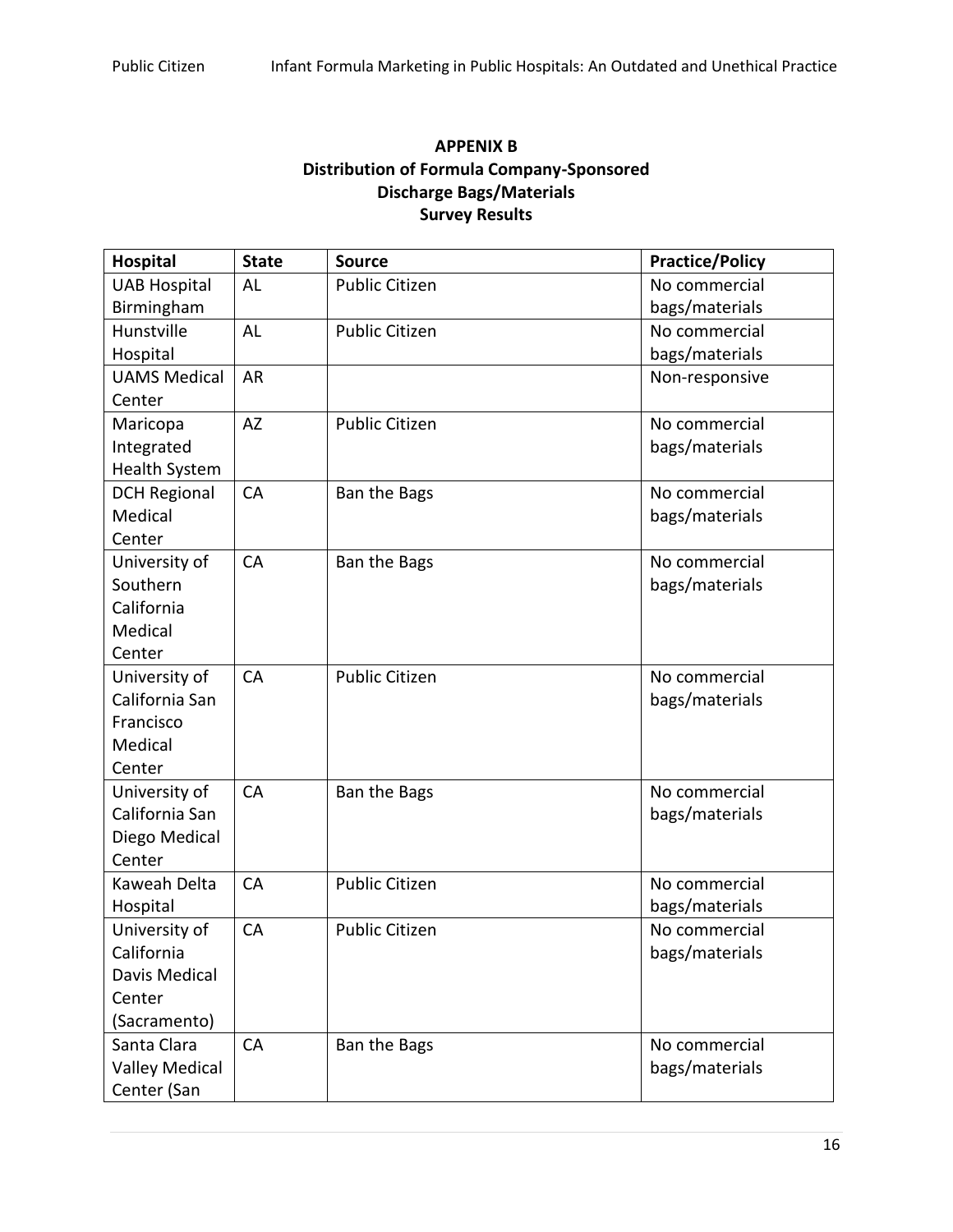## **APPENIX B Distribution of Formula Company-Sponsored Discharge Bags/Materials Survey Results**

| <b>Hospital</b>       | <b>State</b> | <b>Source</b>         | <b>Practice/Policy</b> |
|-----------------------|--------------|-----------------------|------------------------|
| <b>UAB Hospital</b>   | <b>AL</b>    | <b>Public Citizen</b> | No commercial          |
| Birmingham            |              |                       | bags/materials         |
| Hunstville            | <b>AL</b>    | <b>Public Citizen</b> | No commercial          |
| Hospital              |              |                       | bags/materials         |
| <b>UAMS Medical</b>   | <b>AR</b>    |                       | Non-responsive         |
| Center                |              |                       |                        |
| Maricopa              | <b>AZ</b>    | <b>Public Citizen</b> | No commercial          |
| Integrated            |              |                       | bags/materials         |
| <b>Health System</b>  |              |                       |                        |
| <b>DCH Regional</b>   | CA           | Ban the Bags          | No commercial          |
| Medical               |              |                       | bags/materials         |
| Center                |              |                       |                        |
| University of         | CA           | <b>Ban the Bags</b>   | No commercial          |
| Southern              |              |                       | bags/materials         |
| California            |              |                       |                        |
| Medical               |              |                       |                        |
| Center                |              |                       |                        |
| University of         | CA           | <b>Public Citizen</b> | No commercial          |
| California San        |              |                       | bags/materials         |
| Francisco             |              |                       |                        |
| Medical               |              |                       |                        |
| Center                |              |                       |                        |
| University of         | CA           | Ban the Bags          | No commercial          |
| California San        |              |                       | bags/materials         |
| Diego Medical         |              |                       |                        |
| Center                |              |                       |                        |
| Kaweah Delta          | CA           | <b>Public Citizen</b> | No commercial          |
| Hospital              |              |                       | bags/materials         |
| University of         | CA           | <b>Public Citizen</b> | No commercial          |
| California            |              |                       | bags/materials         |
| <b>Davis Medical</b>  |              |                       |                        |
| Center                |              |                       |                        |
| (Sacramento)          |              |                       |                        |
| Santa Clara           | CA           | Ban the Bags          | No commercial          |
| <b>Valley Medical</b> |              |                       | bags/materials         |
| Center (San           |              |                       |                        |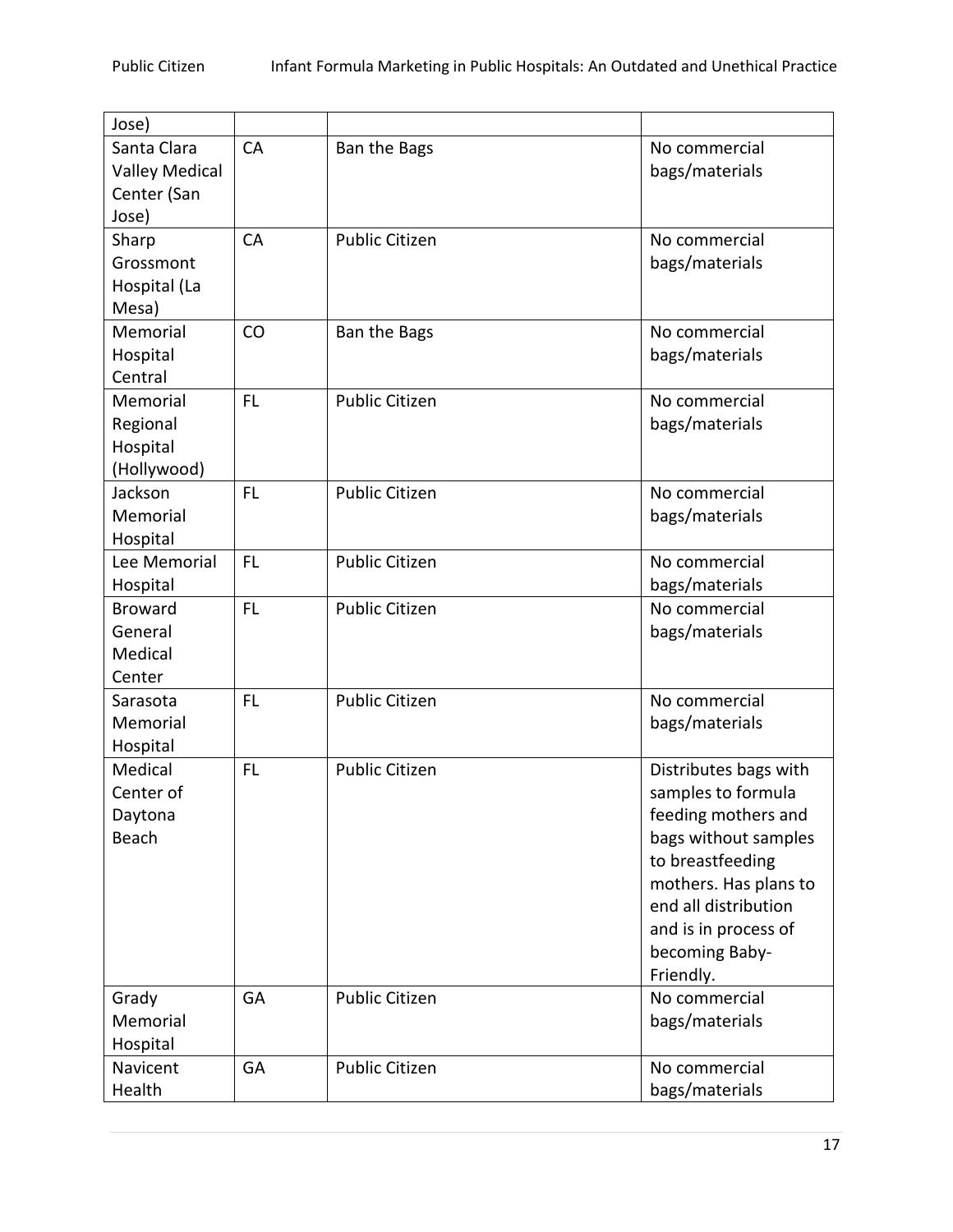| Jose)                 |           |                       |                       |
|-----------------------|-----------|-----------------------|-----------------------|
| Santa Clara           | <b>CA</b> | Ban the Bags          | No commercial         |
| <b>Valley Medical</b> |           |                       | bags/materials        |
| Center (San           |           |                       |                       |
| Jose)                 |           |                       |                       |
| Sharp                 | CA        | <b>Public Citizen</b> | No commercial         |
| Grossmont             |           |                       | bags/materials        |
| Hospital (La          |           |                       |                       |
| Mesa)                 |           |                       |                       |
| Memorial              | CO        | Ban the Bags          | No commercial         |
| Hospital              |           |                       | bags/materials        |
| Central               |           |                       |                       |
| Memorial              | FL        | <b>Public Citizen</b> | No commercial         |
| Regional              |           |                       | bags/materials        |
| Hospital              |           |                       |                       |
| (Hollywood)           |           |                       |                       |
| Jackson               | <b>FL</b> | <b>Public Citizen</b> | No commercial         |
| Memorial              |           |                       | bags/materials        |
| Hospital              |           |                       |                       |
| Lee Memorial          | <b>FL</b> | <b>Public Citizen</b> | No commercial         |
| Hospital              |           |                       | bags/materials        |
| <b>Broward</b>        | <b>FL</b> | <b>Public Citizen</b> | No commercial         |
| General               |           |                       | bags/materials        |
| Medical               |           |                       |                       |
| Center                |           |                       |                       |
| Sarasota              | <b>FL</b> | <b>Public Citizen</b> | No commercial         |
| Memorial              |           |                       | bags/materials        |
| Hospital              |           |                       |                       |
| Medical               | <b>FL</b> | <b>Public Citizen</b> | Distributes bags with |
| Center of             |           |                       | samples to formula    |
| Daytona               |           |                       | feeding mothers and   |
| Beach                 |           |                       | bags without samples  |
|                       |           |                       | to breastfeeding      |
|                       |           |                       | mothers. Has plans to |
|                       |           |                       | end all distribution  |
|                       |           |                       | and is in process of  |
|                       |           |                       | becoming Baby-        |
|                       |           |                       | Friendly.             |
| Grady                 | GA        | <b>Public Citizen</b> | No commercial         |
| Memorial              |           |                       | bags/materials        |
| Hospital              |           |                       |                       |
| Navicent              | GA        | <b>Public Citizen</b> | No commercial         |
| Health                |           |                       | bags/materials        |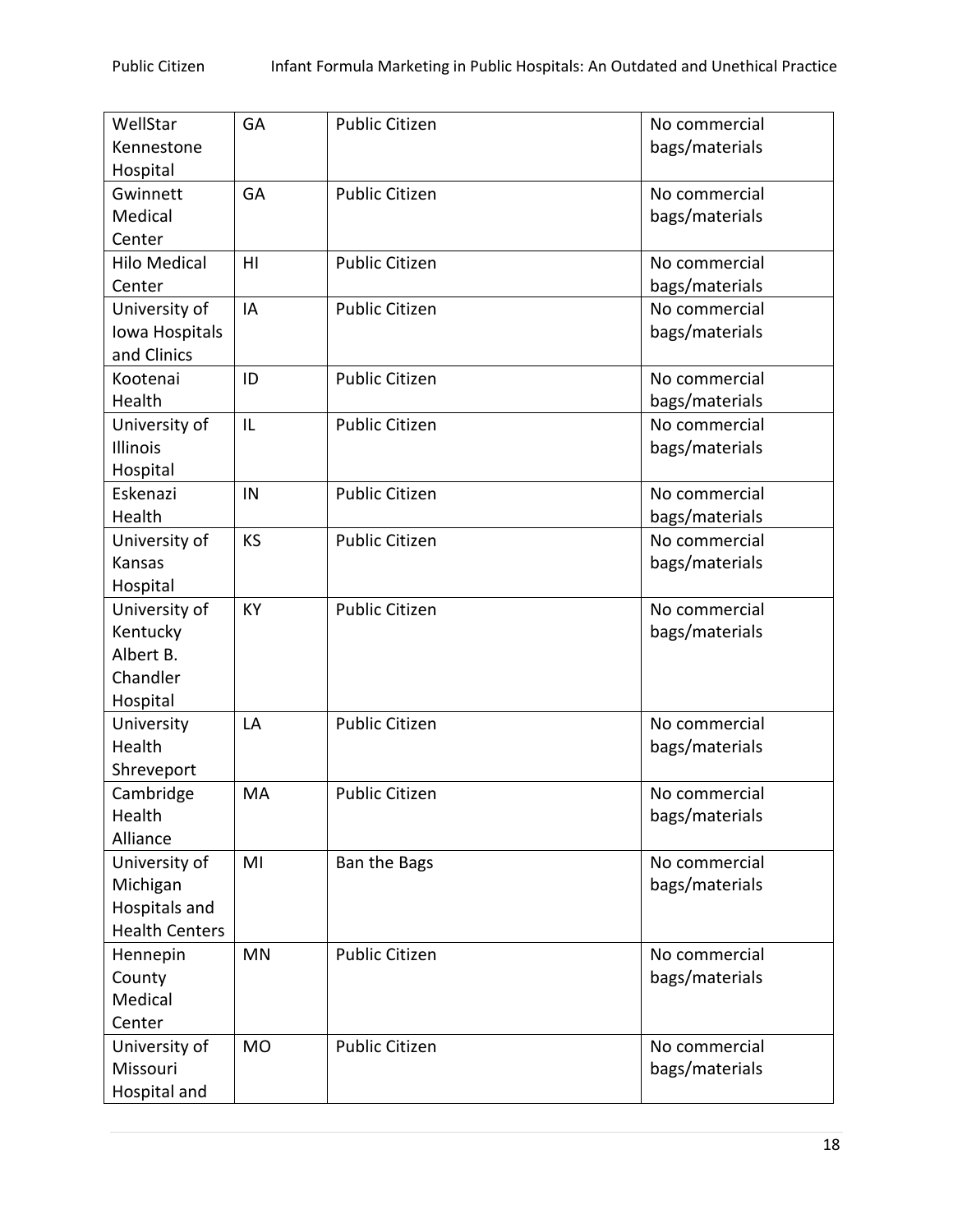| WellStar              | <b>GA</b> | <b>Public Citizen</b> | No commercial  |
|-----------------------|-----------|-----------------------|----------------|
| Kennestone            |           |                       | bags/materials |
| Hospital              |           |                       |                |
| Gwinnett              | GA        | <b>Public Citizen</b> | No commercial  |
| Medical               |           |                       | bags/materials |
| Center                |           |                       |                |
| <b>Hilo Medical</b>   | HI        | <b>Public Citizen</b> | No commercial  |
| Center                |           |                       | bags/materials |
| University of         | IA        | <b>Public Citizen</b> | No commercial  |
| Iowa Hospitals        |           |                       | bags/materials |
| and Clinics           |           |                       |                |
| Kootenai              | ID        | <b>Public Citizen</b> | No commercial  |
|                       |           |                       |                |
| Health                |           |                       | bags/materials |
| University of         | IL        | <b>Public Citizen</b> | No commercial  |
| <b>Illinois</b>       |           |                       | bags/materials |
| Hospital              |           |                       |                |
| Eskenazi              | IN        | <b>Public Citizen</b> | No commercial  |
| Health                |           |                       | bags/materials |
| University of         | KS        | <b>Public Citizen</b> | No commercial  |
| Kansas                |           |                       | bags/materials |
| Hospital              |           |                       |                |
| University of         | <b>KY</b> | <b>Public Citizen</b> | No commercial  |
| Kentucky              |           |                       | bags/materials |
| Albert B.             |           |                       |                |
| Chandler              |           |                       |                |
| Hospital              |           |                       |                |
| University            | LA        | <b>Public Citizen</b> | No commercial  |
| Health                |           |                       | bags/materials |
| Shreveport            |           |                       |                |
| Cambridge             | MA        | <b>Public Citizen</b> | No commercial  |
| Health                |           |                       |                |
| Alliance              |           |                       | bags/materials |
|                       |           |                       |                |
| University of         | MI        | Ban the Bags          | No commercial  |
| Michigan              |           |                       | bags/materials |
| Hospitals and         |           |                       |                |
| <b>Health Centers</b> |           |                       |                |
| Hennepin              | <b>MN</b> | <b>Public Citizen</b> | No commercial  |
| County                |           |                       | bags/materials |
| Medical               |           |                       |                |
| Center                |           |                       |                |
| University of         | <b>MO</b> | <b>Public Citizen</b> | No commercial  |
| Missouri              |           |                       | bags/materials |
| Hospital and          |           |                       |                |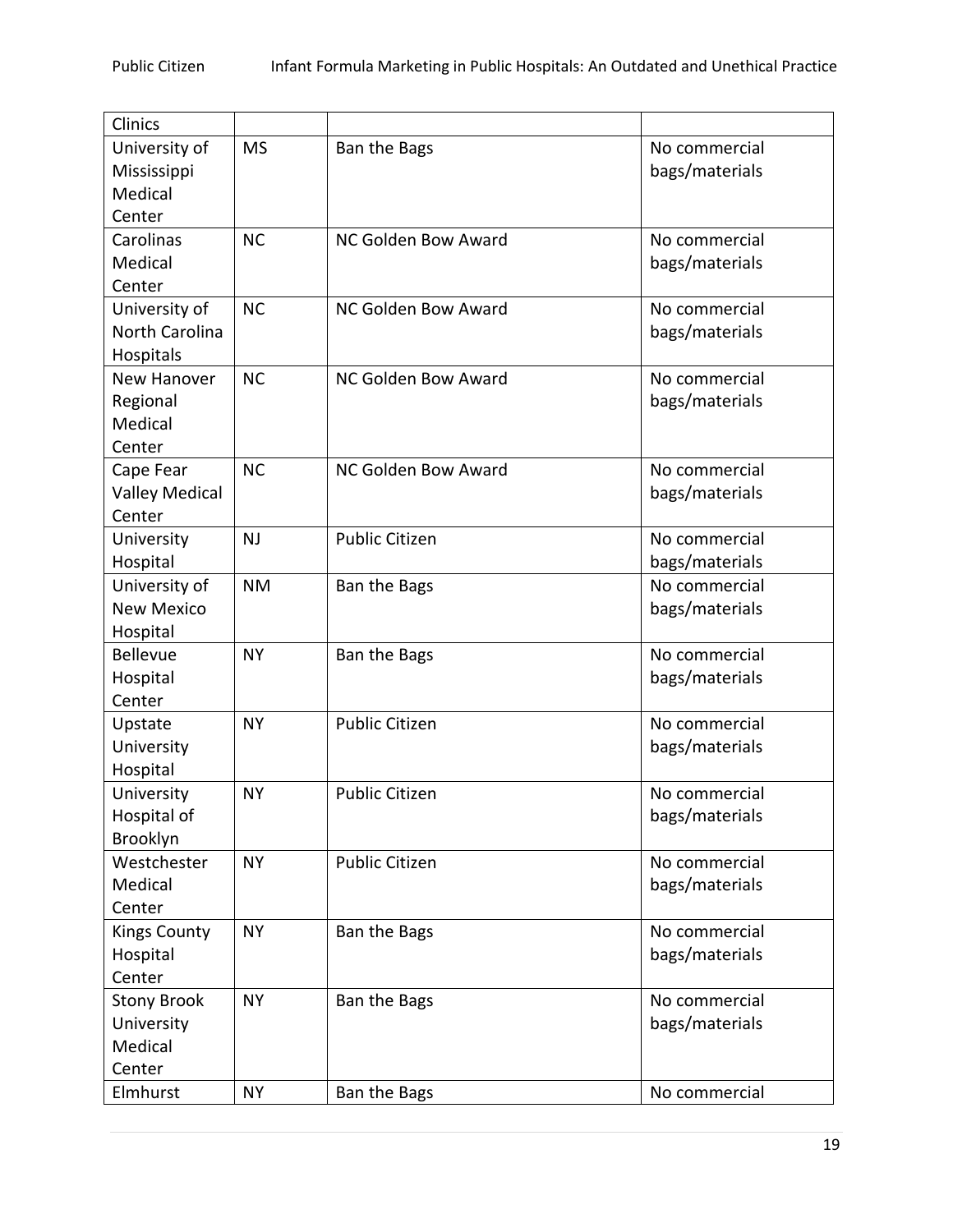| Clinics               |           |                       |                |
|-----------------------|-----------|-----------------------|----------------|
| University of         | <b>MS</b> | Ban the Bags          | No commercial  |
| Mississippi           |           |                       | bags/materials |
| Medical               |           |                       |                |
| Center                |           |                       |                |
| Carolinas             | <b>NC</b> | NC Golden Bow Award   | No commercial  |
| Medical               |           |                       | bags/materials |
| Center                |           |                       |                |
| University of         | <b>NC</b> | NC Golden Bow Award   | No commercial  |
| North Carolina        |           |                       | bags/materials |
| Hospitals             |           |                       |                |
| New Hanover           | <b>NC</b> | NC Golden Bow Award   | No commercial  |
| Regional              |           |                       | bags/materials |
| Medical               |           |                       |                |
| Center                |           |                       |                |
| Cape Fear             | <b>NC</b> | NC Golden Bow Award   | No commercial  |
| <b>Valley Medical</b> |           |                       | bags/materials |
| Center                |           |                       |                |
| University            | <b>NJ</b> | <b>Public Citizen</b> | No commercial  |
| Hospital              |           |                       | bags/materials |
| University of         | <b>NM</b> | Ban the Bags          | No commercial  |
| <b>New Mexico</b>     |           |                       | bags/materials |
| Hospital              |           |                       |                |
| <b>Bellevue</b>       | <b>NY</b> | Ban the Bags          | No commercial  |
| Hospital              |           |                       | bags/materials |
| Center                |           |                       |                |
| Upstate               | <b>NY</b> | <b>Public Citizen</b> | No commercial  |
| University            |           |                       | bags/materials |
| Hospital              |           |                       |                |
| University            | <b>NY</b> | <b>Public Citizen</b> | No commercial  |
| Hospital of           |           |                       | bags/materials |
| Brooklyn              |           |                       |                |
| Westchester           | <b>NY</b> | <b>Public Citizen</b> | No commercial  |
| Medical               |           |                       | bags/materials |
| Center                |           |                       |                |
| <b>Kings County</b>   | <b>NY</b> | Ban the Bags          | No commercial  |
| Hospital              |           |                       | bags/materials |
| Center                |           |                       |                |
| <b>Stony Brook</b>    | <b>NY</b> | Ban the Bags          | No commercial  |
| University            |           |                       | bags/materials |
| Medical               |           |                       |                |
| Center                |           |                       |                |
| Elmhurst              | <b>NY</b> | Ban the Bags          | No commercial  |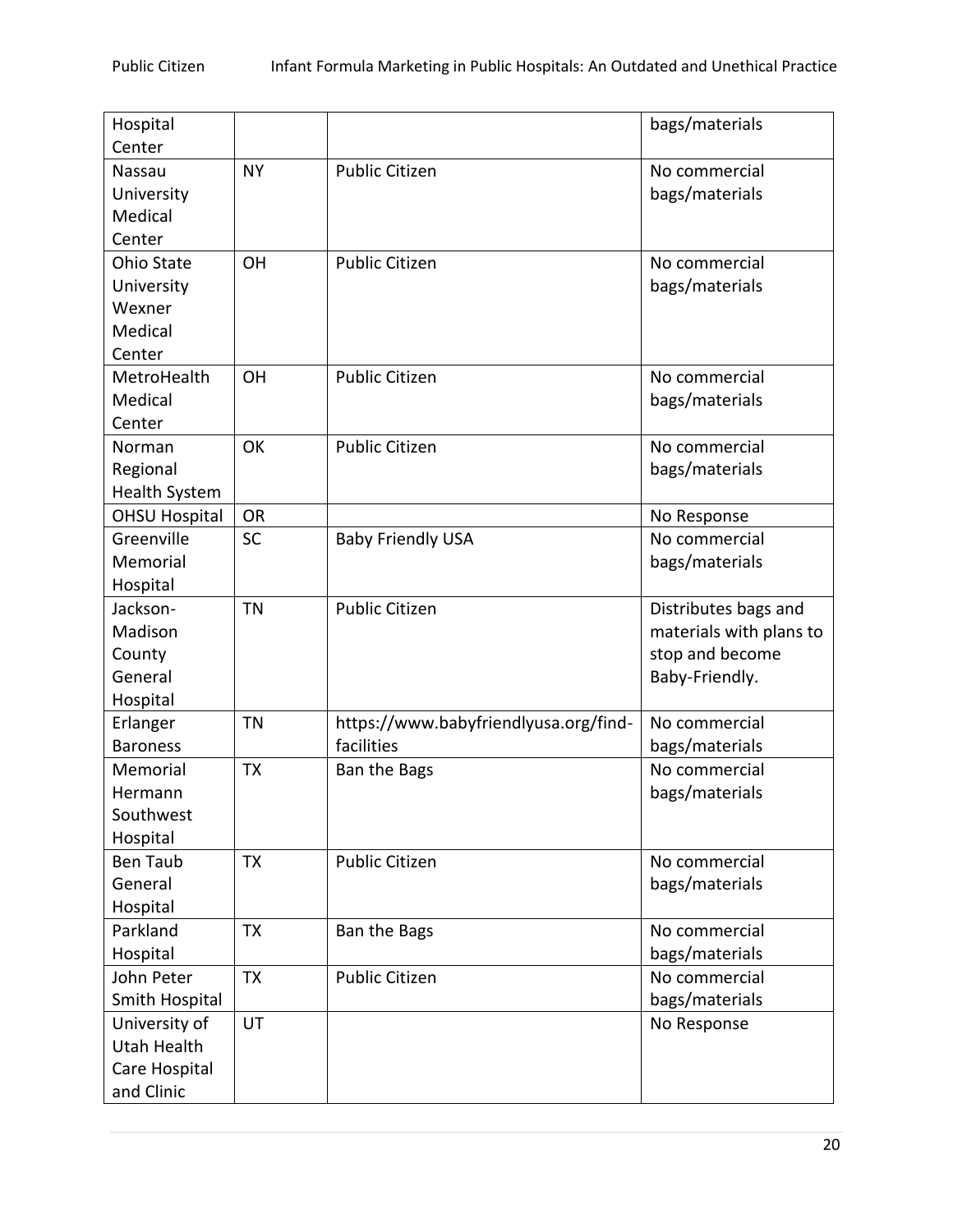| Hospital             |           |                                       | bags/materials          |
|----------------------|-----------|---------------------------------------|-------------------------|
| Center               |           |                                       |                         |
| Nassau               | <b>NY</b> | <b>Public Citizen</b>                 | No commercial           |
| University           |           |                                       | bags/materials          |
| Medical              |           |                                       |                         |
| Center               |           |                                       |                         |
| Ohio State           | OH        | <b>Public Citizen</b>                 | No commercial           |
| University           |           |                                       | bags/materials          |
| Wexner               |           |                                       |                         |
| Medical              |           |                                       |                         |
| Center               |           |                                       |                         |
| MetroHealth          | OH        | <b>Public Citizen</b>                 | No commercial           |
| Medical              |           |                                       | bags/materials          |
| Center               |           |                                       |                         |
| Norman               | OK        | <b>Public Citizen</b>                 | No commercial           |
| Regional             |           |                                       | bags/materials          |
| <b>Health System</b> |           |                                       |                         |
| <b>OHSU Hospital</b> | <b>OR</b> |                                       | No Response             |
| Greenville           | <b>SC</b> | <b>Baby Friendly USA</b>              | No commercial           |
| Memorial             |           |                                       | bags/materials          |
| Hospital             |           |                                       |                         |
| Jackson-             | <b>TN</b> | <b>Public Citizen</b>                 | Distributes bags and    |
| Madison              |           |                                       | materials with plans to |
| County               |           |                                       | stop and become         |
| General              |           |                                       | Baby-Friendly.          |
| Hospital             |           |                                       |                         |
| Erlanger             | <b>TN</b> | https://www.babyfriendlyusa.org/find- | No commercial           |
| <b>Baroness</b>      |           | facilities                            | bags/materials          |
| Memorial             | <b>TX</b> | Ban the Bags                          | No commercial           |
| Hermann              |           |                                       | bags/materials          |
| Southwest            |           |                                       |                         |
| Hospital             |           |                                       |                         |
| <b>Ben Taub</b>      | <b>TX</b> | <b>Public Citizen</b>                 | No commercial           |
| General              |           |                                       | bags/materials          |
| Hospital             |           |                                       |                         |
| Parkland             | <b>TX</b> | Ban the Bags                          | No commercial           |
| Hospital             |           |                                       | bags/materials          |
| John Peter           | <b>TX</b> | <b>Public Citizen</b>                 | No commercial           |
| Smith Hospital       |           |                                       | bags/materials          |
| University of        | UT        |                                       | No Response             |
| Utah Health          |           |                                       |                         |
| Care Hospital        |           |                                       |                         |
| and Clinic           |           |                                       |                         |
|                      |           |                                       |                         |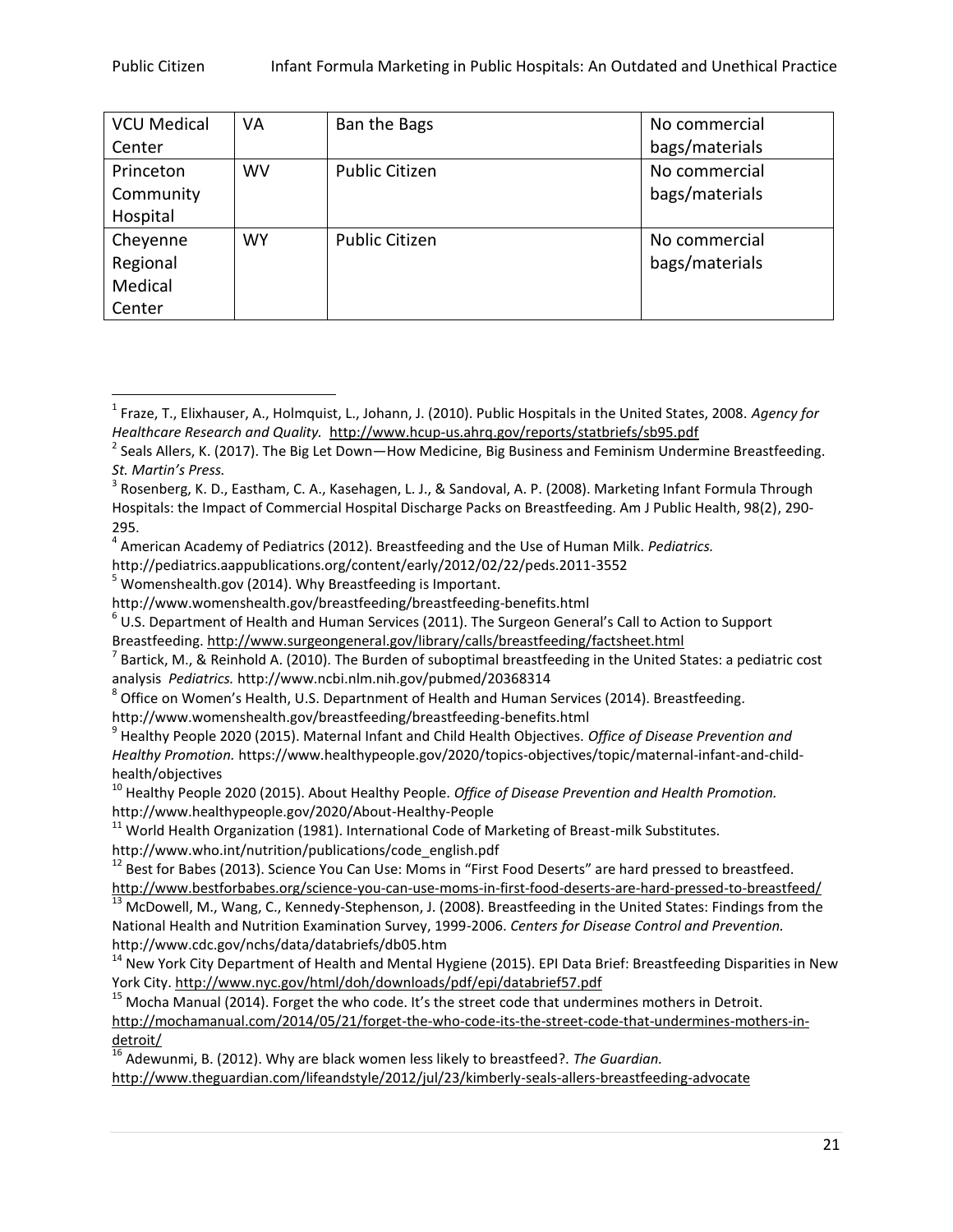| <b>VCU Medical</b> | VA        | Ban the Bags          | No commercial  |
|--------------------|-----------|-----------------------|----------------|
| Center             |           |                       | bags/materials |
| Princeton          | <b>WV</b> | <b>Public Citizen</b> | No commercial  |
| Community          |           |                       | bags/materials |
| Hospital           |           |                       |                |
| Cheyenne           | WY.       | <b>Public Citizen</b> | No commercial  |
| Regional           |           |                       | bags/materials |
| Medical            |           |                       |                |
| Center             |           |                       |                |

http://pediatrics.aappublications.org/content/early/2012/02/22/peds.2011-3552

 $\overline{\phantom{a}}$ 

http://www.womenshealth.gov/breastfeeding/breastfeeding-benefits.html

<sup>1</sup> Fraze, T., Elixhauser, A., Holmquist, L., Johann, J. (2010). Public Hospitals in the United States, 2008. *Agency for Healthcare Research and Quality.* <http://www.hcup-us.ahrq.gov/reports/statbriefs/sb95.pdf>

<sup>&</sup>lt;sup>2</sup> Seals Allers, K. (2017). The Big Let Down—How Medicine, Big Business and Feminism Undermine Breastfeeding. *St. Martin's Press.*

<sup>&</sup>lt;sup>3</sup> Rosenberg, K. D., Eastham, C. A., Kasehagen, L. J., & Sandoval, A. P. (2008). Marketing Infant Formula Through Hospitals: the Impact of Commercial Hospital Discharge Packs on Breastfeeding. Am J Public Health, 98(2), 290- 295.

<sup>4</sup> American Academy of Pediatrics (2012). Breastfeeding and the Use of Human Milk. *Pediatrics.* 

<sup>5</sup> Womenshealth.gov (2014). Why Breastfeeding is Important.

http://www.womenshealth.gov/breastfeeding/breastfeeding-benefits.html

 $^6$  U.S. Department of Health and Human Services (2011). The Surgeon General's Call to Action to Support Breastfeeding.<http://www.surgeongeneral.gov/library/calls/breastfeeding/factsheet.html>

 $^7$  Bartick, M., & Reinhold A. (2010). The Burden of suboptimal breastfeeding in the United States: a pediatric cost analysis *Pediatrics.* http://www.ncbi.nlm.nih.gov/pubmed/20368314

 $^8$  Office on Women's Health, U.S. Departnment of Health and Human Services (2014). Breastfeeding.

<sup>9</sup> Healthy People 2020 (2015). Maternal Infant and Child Health Objectives. *Office of Disease Prevention and Healthy Promotion.* https://www.healthypeople.gov/2020/topics-objectives/topic/maternal-infant-and-childhealth/objectives

<sup>10</sup> Healthy People 2020 (2015). About Healthy People. *Office of Disease Prevention and Health Promotion.*  http://www.healthypeople.gov/2020/About-Healthy-People

<sup>&</sup>lt;sup>11</sup> World Health Organization (1981). International Code of Marketing of Breast-milk Substitutes. http://www.who.int/nutrition/publications/code\_english.pdf

<sup>&</sup>lt;sup>12</sup> Best for Babes (2013). Science You Can Use: Moms in "First Food Deserts" are hard pressed to breastfeed. <http://www.bestforbabes.org/science-you-can-use-moms-in-first-food-deserts-are-hard-pressed-to-breastfeed/>

<sup>&</sup>lt;sup>13</sup> McDowell, M., Wang, C., Kennedy-Stephenson, J. (2008). Breastfeeding in the United States: Findings from the National Health and Nutrition Examination Survey, 1999-2006. *Centers for Disease Control and Prevention.*  http://www.cdc.gov/nchs/data/databriefs/db05.htm

<sup>&</sup>lt;sup>14</sup> New York City Department of Health and Mental Hygiene (2015). EPI Data Brief: Breastfeeding Disparities in New York City[. http://www.nyc.gov/html/doh/downloads/pdf/epi/databrief57.pdf](http://www.nyc.gov/html/doh/downloads/pdf/epi/databrief57.pdf)

 $15$  Mocha Manual (2014). Forget the who code. It's the street code that undermines mothers in Detroit. [http://mochamanual.com/2014/05/21/forget-the-who-code-its-the-street-code-that-undermines-mothers-in](http://mochamanual.com/2014/05/21/forget-the-who-code-its-the-street-code-that-undermines-mothers-in-detroit/)[detroit/](http://mochamanual.com/2014/05/21/forget-the-who-code-its-the-street-code-that-undermines-mothers-in-detroit/)

<sup>16</sup> Adewunmi, B. (2012). Why are black women less likely to breastfeed?. *The Guardian.*  <http://www.theguardian.com/lifeandstyle/2012/jul/23/kimberly-seals-allers-breastfeeding-advocate>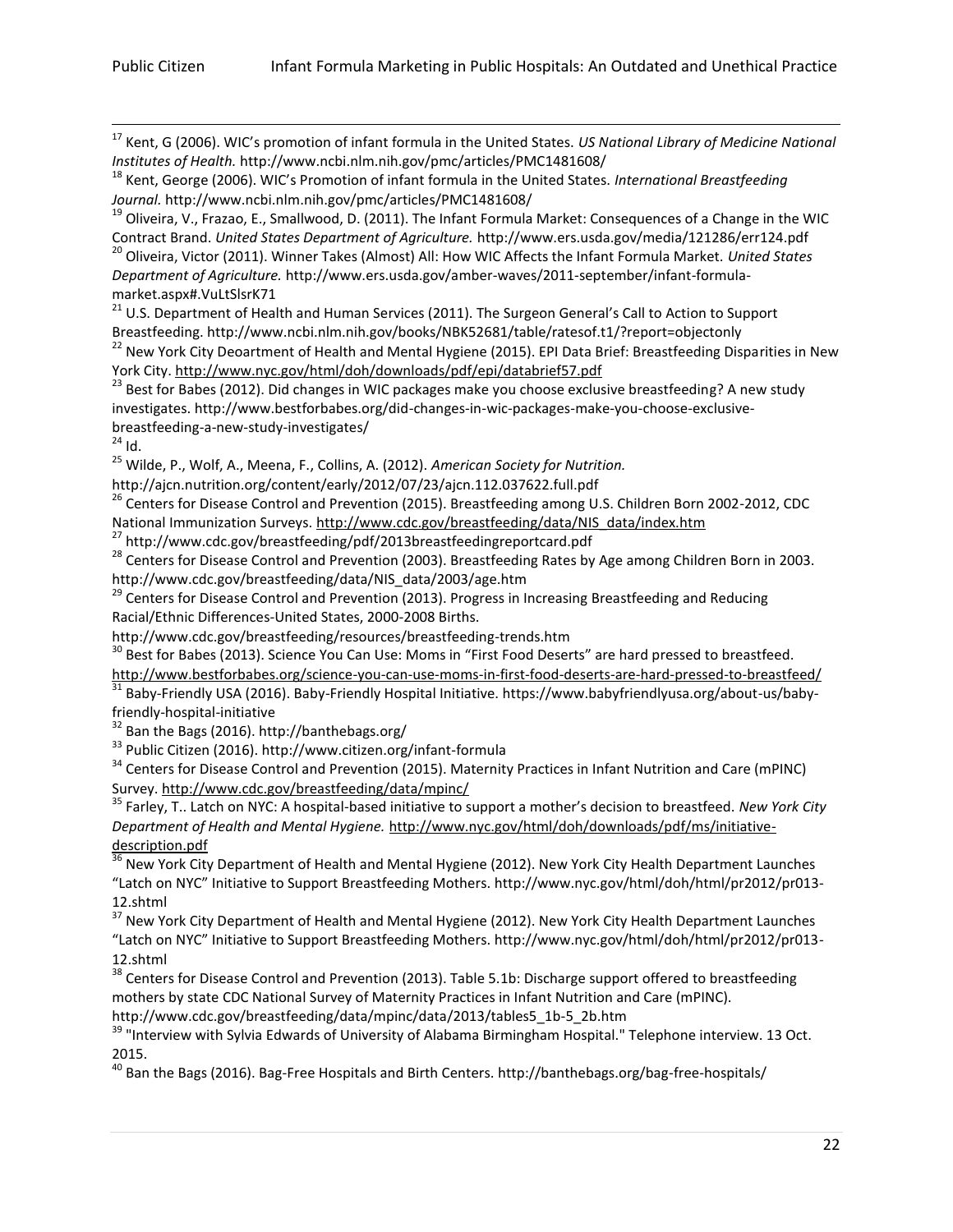$\overline{\phantom{a}}$ 

<sup>17</sup> Kent, G (2006). WIC's promotion of infant formula in the United States. *US National Library of Medicine National Institutes of Health.* http://www.ncbi.nlm.nih.gov/pmc/articles/PMC1481608/

<sup>20</sup> Oliveira, Victor (2011). Winner Takes (Almost) All: How WIC Affects the Infant Formula Market. *United States Department of Agriculture.* http://www.ers.usda.gov/amber-waves/2011-september/infant-formulamarket.aspx#.VuLtSlsrK71

<sup>21</sup> U.S. Department of Health and Human Services (2011). The Surgeon General's Call to Action to Support Breastfeeding. http://www.ncbi.nlm.nih.gov/books/NBK52681/table/ratesof.t1/?report=objectonly

<sup>22</sup> New York City Deoartment of Health and Mental Hygiene (2015). EPI Data Brief: Breastfeeding Disparities in New York City[. http://www.nyc.gov/html/doh/downloads/pdf/epi/databrief57.pdf](http://www.nyc.gov/html/doh/downloads/pdf/epi/databrief57.pdf)

<sup>23</sup> Best for Babes (2012). Did changes in WIC packages make you choose exclusive breastfeeding? A new study investigates. http://www.bestforbabes.org/did-changes-in-wic-packages-make-you-choose-exclusivebreastfeeding-a-new-study-investigates/

 $\frac{24}{24}$  Id.

<sup>25</sup> Wilde, P., Wolf, A., Meena, F., Collins, A. (2012). *American Society for Nutrition.* 

http://ajcn.nutrition.org/content/early/2012/07/23/ajcn.112.037622.full.pdf

<sup>26</sup> Centers for Disease Control and Prevention (2015). Breastfeeding among U.S. Children Born 2002-2012, CDC National Immunization Surveys. [http://www.cdc.gov/breastfeeding/data/NIS\\_data/index.htm](http://www.cdc.gov/breastfeeding/data/NIS_data/index.htm)

 $27$  http://www.cdc.gov/breastfeeding/pdf/2013breastfeedingreportcard.pdf

<sup>28</sup> Centers for Disease Control and Prevention (2003). Breastfeeding Rates by Age among Children Born in 2003. http://www.cdc.gov/breastfeeding/data/NIS\_data/2003/age.htm

<sup>29</sup> Centers for Disease Control and Prevention (2013). Progress in Increasing Breastfeeding and Reducing Racial/Ethnic Differences-United States, 2000-2008 Births.

http://www.cdc.gov/breastfeeding/resources/breastfeeding-trends.htm

<sup>30</sup> Best for Babes (2013). Science You Can Use: Moms in "First Food Deserts" are hard pressed to breastfeed. <http://www.bestforbabes.org/science-you-can-use-moms-in-first-food-deserts-are-hard-pressed-to-breastfeed/>

<sup>31</sup> Baby-Friendly USA (2016). Baby-Friendly Hospital Initiative. https://www.babyfriendlyusa.org/about-us/babyfriendly-hospital-initiative

<sup>32</sup> Ban the Bags (2016). http://banthebags.org/

<sup>33</sup> Public Citizen (2016). http://www.citizen.org/infant-formula

<sup>34</sup> Centers for Disease Control and Prevention (2015). Maternity Practices in Infant Nutrition and Care (mPINC) Survey.<http://www.cdc.gov/breastfeeding/data/mpinc/>

<sup>35</sup> Farley, T.. Latch on NYC: A hospital-based initiative to support a mother's decision to breastfeed. *New York City Department of Health and Mental Hygiene.* [http://www.nyc.gov/html/doh/downloads/pdf/ms/initiative](http://www.nyc.gov/html/doh/downloads/pdf/ms/initiative-description.pdf)[description.pdf](http://www.nyc.gov/html/doh/downloads/pdf/ms/initiative-description.pdf)

<sup>36</sup> New York City Department of Health and Mental Hygiene (2012). New York City Health Department Launches "Latch on NYC" Initiative to Support Breastfeeding Mothers. http://www.nyc.gov/html/doh/html/pr2012/pr013- 12.shtml

<sup>37</sup> New York City Department of Health and Mental Hygiene (2012). New York City Health Department Launches "Latch on NYC" Initiative to Support Breastfeeding Mothers. http://www.nyc.gov/html/doh/html/pr2012/pr013- 12.shtml

<sup>38</sup> Centers for Disease Control and Prevention (2013). Table 5.1b: Discharge support offered to breastfeeding mothers by state CDC National Survey of Maternity Practices in Infant Nutrition and Care (mPINC). http://www.cdc.gov/breastfeeding/data/mpinc/data/2013/tables5\_1b-5\_2b.htm

<sup>39</sup> "Interview with Sylvia Edwards of University of Alabama Birmingham Hospital." Telephone interview. 13 Oct. 2015.

<sup>40</sup> Ban the Bags (2016). Bag-Free Hospitals and Birth Centers. http://banthebags.org/bag-free-hospitals/

<sup>18</sup> Kent, George (2006). WIC's Promotion of infant formula in the United States. *International Breastfeeding Journal.* http://www.ncbi.nlm.nih.gov/pmc/articles/PMC1481608/

<sup>&</sup>lt;sup>19</sup> Oliveira, V., Frazao, E., Smallwood, D. (2011). The Infant Formula Market: Consequences of a Change in the WIC Contract Brand. *United States Department of Agriculture.* http://www.ers.usda.gov/media/121286/err124.pdf